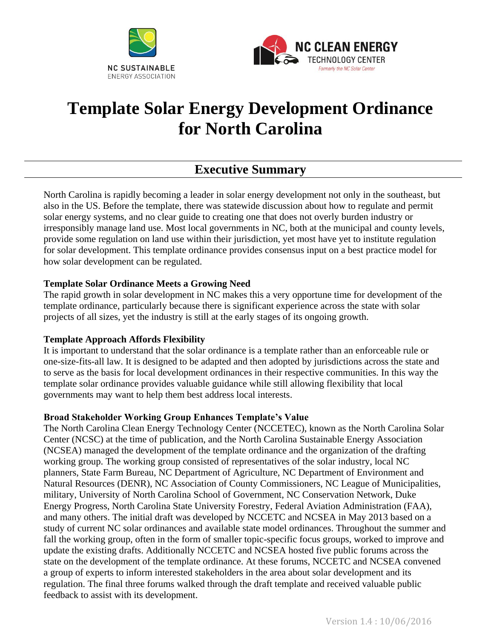



# **Template Solar Energy Development Ordinance for North Carolina**

# **Executive Summary**

North Carolina is rapidly becoming a leader in solar energy development not only in the southeast, but also in the US. Before the template, there was statewide discussion about how to regulate and permit solar energy systems, and no clear guide to creating one that does not overly burden industry or irresponsibly manage land use. Most local governments in NC, both at the municipal and county levels, provide some regulation on land use within their jurisdiction, yet most have yet to institute regulation for solar development. This template ordinance provides consensus input on a best practice model for how solar development can be regulated.

#### **Template Solar Ordinance Meets a Growing Need**

The rapid growth in solar development in NC makes this a very opportune time for development of the template ordinance, particularly because there is significant experience across the state with solar projects of all sizes, yet the industry is still at the early stages of its ongoing growth.

#### **Template Approach Affords Flexibility**

It is important to understand that the solar ordinance is a template rather than an enforceable rule or one-size-fits-all law. It is designed to be adapted and then adopted by jurisdictions across the state and to serve as the basis for local development ordinances in their respective communities. In this way the template solar ordinance provides valuable guidance while still allowing flexibility that local governments may want to help them best address local interests.

#### **Broad Stakeholder Working Group Enhances Template's Value**

The North Carolina Clean Energy Technology Center (NCCETEC), known as the North Carolina Solar Center (NCSC) at the time of publication, and the North Carolina Sustainable Energy Association (NCSEA) managed the development of the template ordinance and the organization of the drafting working group. The working group consisted of representatives of the solar industry, local NC planners, State Farm Bureau, NC Department of Agriculture, NC Department of Environment and Natural Resources (DENR), NC Association of County Commissioners, NC League of Municipalities, military, University of North Carolina School of Government, NC Conservation Network, Duke Energy Progress, North Carolina State University Forestry, Federal Aviation Administration (FAA), and many others. The initial draft was developed by NCCETC and NCSEA in May 2013 based on a study of current NC solar ordinances and available state model ordinances. Throughout the summer and fall the working group, often in the form of smaller topic-specific focus groups, worked to improve and update the existing drafts. Additionally NCCETC and NCSEA hosted five public forums across the state on the development of the template ordinance. At these forums, NCCETC and NCSEA convened a group of experts to inform interested stakeholders in the area about solar development and its regulation. The final three forums walked through the draft template and received valuable public feedback to assist with its development.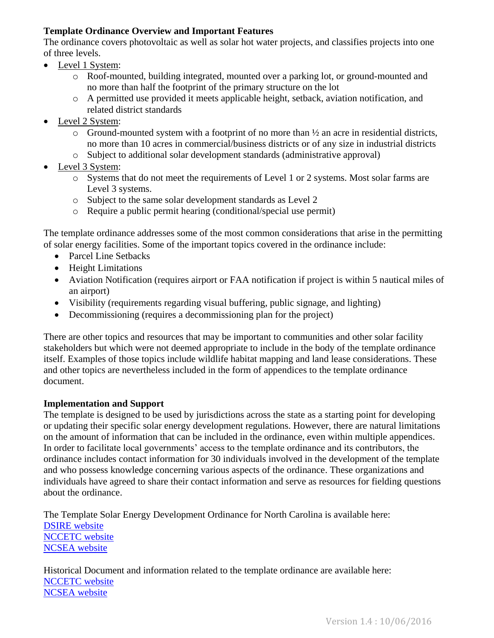#### **Template Ordinance Overview and Important Features**

The ordinance covers photovoltaic as well as solar hot water projects, and classifies projects into one of three levels.

- Level 1 System:
	- o Roof-mounted, building integrated, mounted over a parking lot, or ground-mounted and no more than half the footprint of the primary structure on the lot
	- o A permitted use provided it meets applicable height, setback, aviation notification, and related district standards
- Level 2 System:
	- $\circ$  Ground-mounted system with a footprint of no more than  $\frac{1}{2}$  an acre in residential districts, no more than 10 acres in commercial/business districts or of any size in industrial districts
	- o Subject to additional solar development standards (administrative approval)
- Level 3 System:
	- o Systems that do not meet the requirements of Level 1 or 2 systems. Most solar farms are Level 3 systems.
	- o Subject to the same solar development standards as Level 2
	- o Require a public permit hearing (conditional/special use permit)

The template ordinance addresses some of the most common considerations that arise in the permitting of solar energy facilities. Some of the important topics covered in the ordinance include:

- Parcel Line Setbacks
- Height Limitations
- Aviation Notification (requires airport or FAA notification if project is within 5 nautical miles of an airport)
- Visibility (requirements regarding visual buffering, public signage, and lighting)
- Decommissioning (requires a decommissioning plan for the project)

There are other topics and resources that may be important to communities and other solar facility stakeholders but which were not deemed appropriate to include in the body of the template ordinance itself. Examples of those topics include wildlife habitat mapping and land lease considerations. These and other topics are nevertheless included in the form of appendices to the template ordinance document.

#### **Implementation and Support**

The template is designed to be used by jurisdictions across the state as a starting point for developing or updating their specific solar energy development regulations. However, there are natural limitations on the amount of information that can be included in the ordinance, even within multiple appendices. In order to facilitate local governments' access to the template ordinance and its contributors, the ordinance includes contact information for 30 individuals involved in the development of the template and who possess knowledge concerning various aspects of the ordinance. These organizations and individuals have agreed to share their contact information and serve as resources for fielding questions about the ordinance.

The Template Solar Energy Development Ordinance for North Carolina is available here: **DSIRE** website [NCCETC](http://go.ncsu.edu/template-solar-ordinance) website [NCSEA website](http://energync.org/)

Historical Document and information related to the template ordinance are available here: [NCCETC](http://go.ncsu.edu/template-solar-ordinance) website [NCSEA website](http://energync.org/)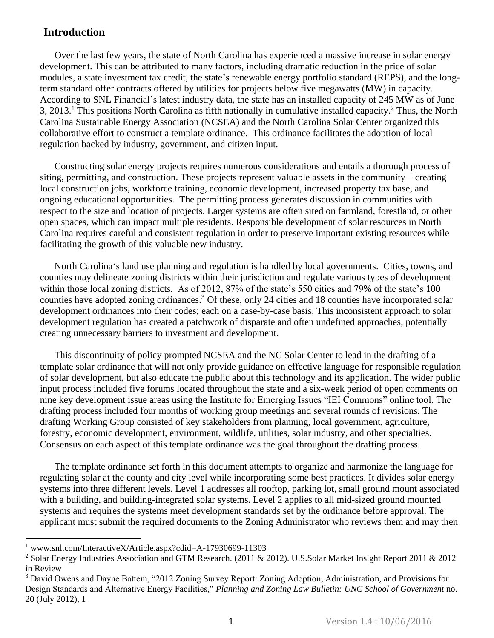### **Introduction**

Over the last few years, the state of North Carolina has experienced a massive increase in solar energy development. This can be attributed to many factors, including dramatic reduction in the price of solar modules, a state investment tax credit, the state's renewable energy portfolio standard (REPS), and the longterm standard offer contracts offered by utilities for projects below five megawatts (MW) in capacity. According to SNL Financial's latest industry data, the state has an installed capacity of 245 MW as of June 3, 2013.<sup>1</sup> This positions North Carolina as fifth nationally in cumulative installed capacity.<sup>2</sup> Thus, the North Carolina Sustainable Energy Association (NCSEA) and the North Carolina Solar Center organized this collaborative effort to construct a template ordinance. This ordinance facilitates the adoption of local regulation backed by industry, government, and citizen input.

Constructing solar energy projects requires numerous considerations and entails a thorough process of siting, permitting, and construction. These projects represent valuable assets in the community – creating local construction jobs, workforce training, economic development, increased property tax base, and ongoing educational opportunities. The permitting process generates discussion in communities with respect to the size and location of projects. Larger systems are often sited on farmland, forestland, or other open spaces, which can impact multiple residents. Responsible development of solar resources in North Carolina requires careful and consistent regulation in order to preserve important existing resources while facilitating the growth of this valuable new industry.

North Carolina's land use planning and regulation is handled by local governments. Cities, towns, and counties may delineate zoning districts within their jurisdiction and regulate various types of development within those local zoning districts. As of 2012, 87% of the state's 550 cities and 79% of the state's 100 counties have adopted zoning ordinances.<sup>3</sup> Of these, only 24 cities and 18 counties have incorporated solar development ordinances into their codes; each on a case-by-case basis. This inconsistent approach to solar development regulation has created a patchwork of disparate and often undefined approaches, potentially creating unnecessary barriers to investment and development.

This discontinuity of policy prompted NCSEA and the NC Solar Center to lead in the drafting of a template solar ordinance that will not only provide guidance on effective language for responsible regulation of solar development, but also educate the public about this technology and its application. The wider public input process included five forums located throughout the state and a six-week period of open comments on nine key development issue areas using the Institute for Emerging Issues "IEI Commons" online tool. The drafting process included four months of working group meetings and several rounds of revisions. The drafting Working Group consisted of key stakeholders from planning, local government, agriculture, forestry, economic development, environment, wildlife, utilities, solar industry, and other specialties. Consensus on each aspect of this template ordinance was the goal throughout the drafting process.

The template ordinance set forth in this document attempts to organize and harmonize the language for regulating solar at the county and city level while incorporating some best practices. It divides solar energy systems into three different levels. Level 1 addresses all rooftop, parking lot, small ground mount associated with a building, and building-integrated solar systems. Level 2 applies to all mid-sized ground mounted systems and requires the systems meet development standards set by the ordinance before approval. The applicant must submit the required documents to the Zoning Administrator who reviews them and may then

 $\overline{a}$ 

<sup>1</sup> www.snl.com/InteractiveX/Article.aspx?cdid=A-17930699-11303

<sup>&</sup>lt;sup>2</sup> Solar Energy Industries Association and GTM Research. (2011 & 2012). U.S.Solar Market Insight Report 2011 & 2012 in Review

<sup>3</sup> David Owens and Dayne Battem, "2012 Zoning Survey Report: Zoning Adoption, Administration, and Provisions for Design Standards and Alternative Energy Facilities," *Planning and Zoning Law Bulletin: UNC School of Government* no. 20 (July 2012), 1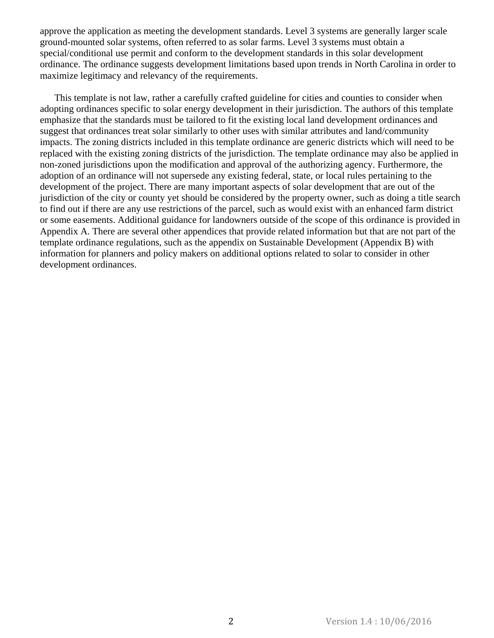approve the application as meeting the development standards. Level 3 systems are generally larger scale ground-mounted solar systems, often referred to as solar farms. Level 3 systems must obtain a special/conditional use permit and conform to the development standards in this solar development ordinance. The ordinance suggests development limitations based upon trends in North Carolina in order to maximize legitimacy and relevancy of the requirements.

This template is not law, rather a carefully crafted guideline for cities and counties to consider when adopting ordinances specific to solar energy development in their jurisdiction. The authors of this template emphasize that the standards must be tailored to fit the existing local land development ordinances and suggest that ordinances treat solar similarly to other uses with similar attributes and land/community impacts. The zoning districts included in this template ordinance are generic districts which will need to be replaced with the existing zoning districts of the jurisdiction. The template ordinance may also be applied in non-zoned jurisdictions upon the modification and approval of the authorizing agency. Furthermore, the adoption of an ordinance will not supersede any existing federal, state, or local rules pertaining to the development of the project. There are many important aspects of solar development that are out of the jurisdiction of the city or county yet should be considered by the property owner, such as doing a title search to find out if there are any use restrictions of the parcel, such as would exist with an enhanced farm district or some easements. Additional guidance for landowners outside of the scope of this ordinance is provided in Appendix A. There are several other appendices that provide related information but that are not part of the template ordinance regulations, such as the appendix on Sustainable Development (Appendix B) with information for planners and policy makers on additional options related to solar to consider in other development ordinances.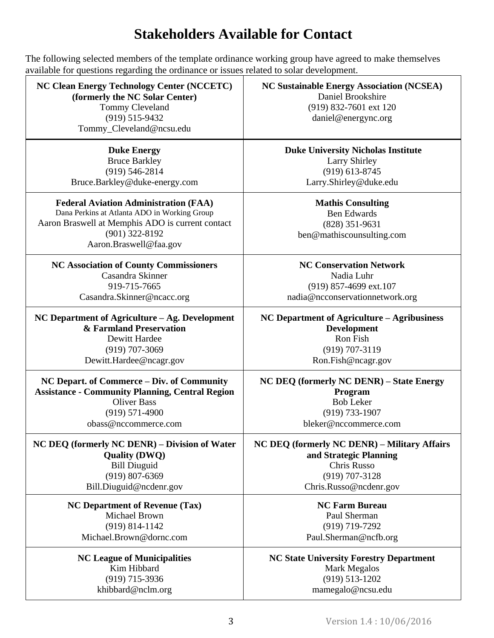# **Stakeholders Available for Contact**

The following selected members of the template ordinance working group have agreed to make themselves available for questions regarding the ordinance or issues related to solar development.

| <b>NC Clean Energy Technology Center (NCCETC)</b><br>(formerly the NC Solar Center)<br>Tommy Cleveland<br>$(919) 515 - 9432$<br>Tommy_Cleveland@ncsu.edu                                       | <b>NC Sustainable Energy Association (NCSEA)</b><br>Daniel Brookshire<br>(919) 832-7601 ext 120<br>daniel@energync.org |
|------------------------------------------------------------------------------------------------------------------------------------------------------------------------------------------------|------------------------------------------------------------------------------------------------------------------------|
| <b>Duke Energy</b>                                                                                                                                                                             | <b>Duke University Nicholas Institute</b>                                                                              |
| <b>Bruce Barkley</b>                                                                                                                                                                           | <b>Larry Shirley</b>                                                                                                   |
| $(919) 546 - 2814$                                                                                                                                                                             | $(919)$ 613-8745                                                                                                       |
| Bruce.Barkley@duke-energy.com                                                                                                                                                                  | Larry.Shirley@duke.edu                                                                                                 |
| <b>Federal Aviation Administration (FAA)</b><br>Dana Perkins at Atlanta ADO in Working Group<br>Aaron Braswell at Memphis ADO is current contact<br>$(901)$ 322-8192<br>Aaron.Braswell@faa.gov | <b>Mathis Consulting</b><br><b>Ben Edwards</b><br>$(828)$ 351-9631<br>ben@mathiscounsulting.com                        |
| <b>NC Association of County Commissioners</b>                                                                                                                                                  | <b>NC Conservation Network</b>                                                                                         |
| Casandra Skinner                                                                                                                                                                               | Nadia Luhr                                                                                                             |
| 919-715-7665                                                                                                                                                                                   | (919) 857-4699 ext.107                                                                                                 |
| Casandra.Skinner@ncacc.org                                                                                                                                                                     | nadia@ncconservationnetwork.org                                                                                        |
| NC Department of Agriculture – Ag. Development                                                                                                                                                 | NC Department of Agriculture - Agribusiness                                                                            |
| & Farmland Preservation                                                                                                                                                                        | <b>Development</b>                                                                                                     |
| Dewitt Hardee                                                                                                                                                                                  | Ron Fish                                                                                                               |
| $(919)$ 707-3069                                                                                                                                                                               | (919) 707-3119                                                                                                         |
| Dewitt.Hardee@ncagr.gov                                                                                                                                                                        | Ron.Fish@ncagr.gov                                                                                                     |
| NC Depart. of Commerce – Div. of Community                                                                                                                                                     | <b>NC DEQ (formerly NC DENR) – State Energy</b>                                                                        |
| <b>Assistance - Community Planning, Central Region</b>                                                                                                                                         | Program                                                                                                                |
| <b>Oliver Bass</b>                                                                                                                                                                             | <b>Bob Leker</b>                                                                                                       |
| $(919) 571-4900$                                                                                                                                                                               | (919) 733-1907                                                                                                         |
| obass@nccommerce.com                                                                                                                                                                           | bleker@nccommerce.com                                                                                                  |
| NC DEQ (formerly NC DENR) – Division of Water                                                                                                                                                  | NC DEQ (formerly NC DENR) – Military Affairs                                                                           |
| <b>Quality (DWQ)</b>                                                                                                                                                                           | and Strategic Planning                                                                                                 |
| <b>Bill Diuguid</b>                                                                                                                                                                            | Chris Russo                                                                                                            |
| $(919)$ 807-6369                                                                                                                                                                               | $(919)$ 707-3128                                                                                                       |
| Bill.Diuguid@ncdenr.gov                                                                                                                                                                        | Chris.Russo@ncdenr.gov                                                                                                 |
| <b>NC Department of Revenue (Tax)</b>                                                                                                                                                          | <b>NC Farm Bureau</b>                                                                                                  |
| <b>Michael Brown</b>                                                                                                                                                                           | Paul Sherman                                                                                                           |
| $(919) 814 - 1142$                                                                                                                                                                             | (919) 719-7292                                                                                                         |
| Michael.Brown@dornc.com                                                                                                                                                                        | Paul.Sherman@ncfb.org                                                                                                  |
| <b>NC League of Municipalities</b>                                                                                                                                                             | <b>NC State University Forestry Department</b>                                                                         |
| Kim Hibbard                                                                                                                                                                                    | <b>Mark Megalos</b>                                                                                                    |
| $(919)$ 715-3936                                                                                                                                                                               | $(919) 513 - 1202$                                                                                                     |
| khibbard@nclm.org                                                                                                                                                                              | mamegalo@ncsu.edu                                                                                                      |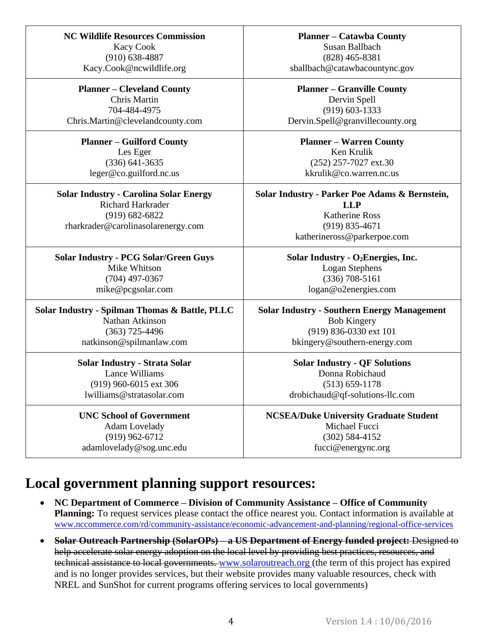| <b>NC Wildlife Resources Commission</b><br><b>Kacy Cook</b>               | <b>Planner – Catawba County</b><br>Susan Ballbach            |
|---------------------------------------------------------------------------|--------------------------------------------------------------|
| $(910) 638 - 4887$                                                        | $(828)$ 465-8381                                             |
| Kacy.Cook@ncwildlife.org                                                  | sballbach@catawbacountync.gov                                |
| <b>Planner – Cleveland County</b>                                         | <b>Planner – Granville County</b>                            |
| Chris Martin                                                              | Dervin Spell                                                 |
| 704-484-4975                                                              | $(919) 603 - 1333$                                           |
| Chris.Martin@clevelandcounty.com                                          | Dervin.Spell@granvillecounty.org                             |
| <b>Planner – Guilford County</b>                                          | <b>Planner – Warren County</b>                               |
| Les Eger                                                                  | Ken Krulik                                                   |
| $(336)$ 641-3635                                                          | (252) 257-7027 ext.30                                        |
| leger@co.guilford.nc.us                                                   | kkrulik@co.warren.nc.us                                      |
| <b>Solar Industry - Carolina Solar Energy</b><br><b>Richard Harkrader</b> | Solar Industry - Parker Poe Adams & Bernstein,<br><b>LLP</b> |
| $(919) 682 - 6822$                                                        | <b>Katherine Ross</b>                                        |
| rharkrader@carolinasolarenergy.com                                        | $(919) 835 - 4671$                                           |
|                                                                           | katherineross@parkerpoe.com                                  |
|                                                                           |                                                              |
| <b>Solar Industry - PCG Solar/Green Guys</b>                              | Solar Industry - O <sub>2</sub> Energies, Inc.               |
| Mike Whitson                                                              | Logan Stephens                                               |
| $(704)$ 497-0367                                                          | $(336)$ 708-5161                                             |
| mike@pcgsolar.com                                                         | logan@o2energies.com                                         |
| Solar Industry - Spilman Thomas & Battle, PLLC                            | <b>Solar Industry - Southern Energy Management</b>           |
| Nathan Atkinson                                                           | <b>Bob Kingery</b>                                           |
| $(363)$ 725-4496                                                          | (919) 836-0330 ext 101                                       |
| natkinson@spilmanlaw.com                                                  | bkingery@southern-energy.com                                 |
| <b>Solar Industry - Strata Solar</b>                                      | <b>Solar Industry - QF Solutions</b>                         |
| Lance Williams                                                            | Donna Robichaud                                              |
| (919) 960-6015 ext 306                                                    | $(513) 659 - 1178$                                           |
| lwilliams@stratasolar.com                                                 | drobichaud@qf-solutions-llc.com                              |
|                                                                           |                                                              |
| <b>UNC School of Government</b>                                           | <b>NCSEA/Duke University Graduate Student</b>                |
| Adam Lovelady                                                             | Michael Fucci                                                |
| $(919)$ 962-6712                                                          | $(302) 584 - 4152$                                           |
|                                                                           |                                                              |
| adamlovelady@sog.unc.edu                                                  | fucci@energync.org                                           |

# **Local government planning support resources:**

- **NC Department of Commerce – Division of Community Assistance – Office of Community Planning:** To request services please contact the office nearest you. Contact information is available at [www.nccommerce.com/rd/community-assistance/economic-advancement-and-planning/regional-office-services](file:///C:/Users/Tommy/Dropbox/Solar%20Permitting%20Template%20Ordinance/drafts%20of%20template%20ordinance/www.nccommerce.com/rd/community-assistance/economic-advancement-and-planning/regional-office-services)
- **Solar Outreach Partnership (SolarOPs) – a US Department of Energy funded project:** Designed to help accelerate solar energy adoption on the local level by providing best practices, resources, and technical assistance to local governments. [www.solaroutreach.org](http://www.solaroutreach.org/) (the term of this project has expired and is no longer provides services, but their website provides many valuable resources, check with NREL and SunShot for current programs offering services to local governments)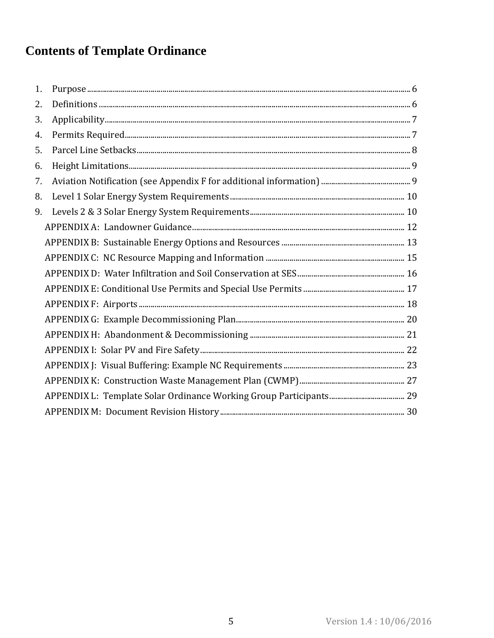# **Contents of Template Ordinance**

| 1. |  |
|----|--|
| 2. |  |
| 3. |  |
| 4. |  |
| 5. |  |
| 6. |  |
| 7. |  |
| 8. |  |
| 9. |  |
|    |  |
|    |  |
|    |  |
|    |  |
|    |  |
|    |  |
|    |  |
|    |  |
|    |  |
|    |  |
|    |  |
|    |  |
|    |  |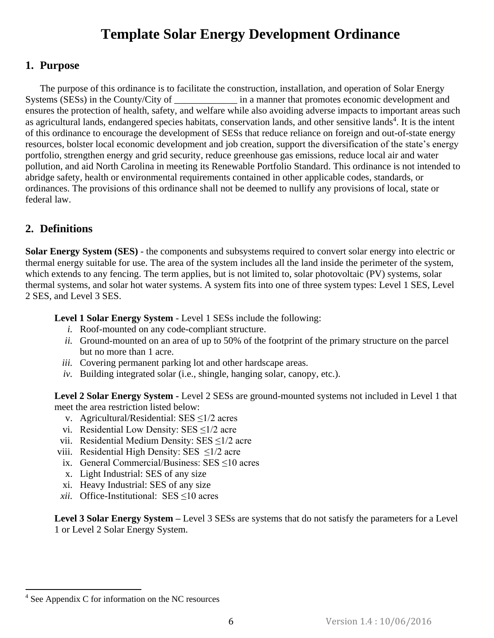# **Template Solar Energy Development Ordinance**

### <span id="page-7-0"></span>**1. Purpose**

The purpose of this ordinance is to facilitate the construction, installation, and operation of Solar Energy Systems (SESs) in the County/City of \_\_\_\_\_\_\_\_\_\_\_\_\_ in a manner that promotes economic development and ensures the protection of health, safety, and welfare while also avoiding adverse impacts to important areas such as agricultural lands, endangered species habitats, conservation lands, and other sensitive lands<sup>4</sup>. It is the intent of this ordinance to encourage the development of SESs that reduce reliance on foreign and out-of-state energy resources, bolster local economic development and job creation, support the diversification of the state's energy portfolio, strengthen energy and grid security, reduce greenhouse gas emissions, reduce local air and water pollution, and aid North Carolina in meeting its Renewable Portfolio Standard. This ordinance is not intended to abridge safety, health or environmental requirements contained in other applicable codes, standards, or ordinances. The provisions of this ordinance shall not be deemed to nullify any provisions of local, state or federal law.

### <span id="page-7-1"></span>**2. Definitions**

**Solar Energy System (SES)** - the components and subsystems required to convert solar energy into electric or thermal energy suitable for use. The area of the system includes all the land inside the perimeter of the system, which extends to any fencing. The term applies, but is not limited to, solar photovoltaic (PV) systems, solar thermal systems, and solar hot water systems. A system fits into one of three system types: Level 1 SES, Level 2 SES, and Level 3 SES.

**Level 1 Solar Energy System** - Level 1 SESs include the following:

- *i.* Roof-mounted on any code-compliant structure.
- *ii.* Ground-mounted on an area of up to 50% of the footprint of the primary structure on the parcel but no more than 1 acre.
- *iii.* Covering permanent parking lot and other hardscape areas.
- *iv.* Building integrated solar (i.e., shingle, hanging solar, canopy, etc.).

**Level 2 Solar Energy System -** Level 2 SESs are ground-mounted systems not included in Level 1 that meet the area restriction listed below:

- v. Agricultural/Residential: SES ≤1/2 acres
- vi. Residential Low Density: SES  $\leq$ 1/2 acre
- vii. Residential Medium Density: SES ≤1/2 acre
- viii. Residential High Density: SES ≤1/2 acre
- ix. General Commercial/Business: SES ≤10 acres
- x. Light Industrial: SES of any size
- xi. Heavy Industrial: SES of any size
- *xii.* Office-Institutional: SES ≤10 acres

**Level 3 Solar Energy System –** Level 3 SESs are systems that do not satisfy the parameters for a Level 1 or Level 2 Solar Energy System.

l

<sup>4</sup> See Appendix C for information on the NC resources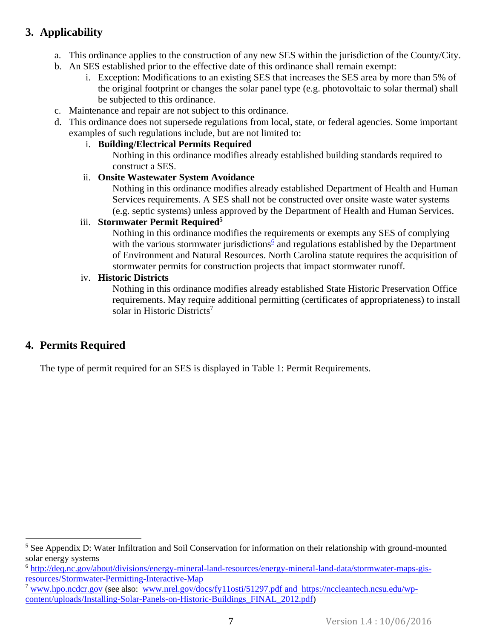# <span id="page-8-0"></span>**3. Applicability**

- a. This ordinance applies to the construction of any new SES within the jurisdiction of the County/City.
- b. An SES established prior to the effective date of this ordinance shall remain exempt:
	- i. Exception: Modifications to an existing SES that increases the SES area by more than 5% of the original footprint or changes the solar panel type (e.g. photovoltaic to solar thermal) shall be subjected to this ordinance.
- c. Maintenance and repair are not subject to this ordinance.
- d. This ordinance does not supersede regulations from local, state, or federal agencies. Some important examples of such regulations include, but are not limited to:
	- i. **Building/Electrical Permits Required**

Nothing in this ordinance modifies already established building standards required to construct a SES.

#### ii. **Onsite Wastewater System Avoidance**

Nothing in this ordinance modifies already established Department of Health and Human Services requirements. A SES shall not be constructed over onsite waste water systems (e.g. septic systems) unless approved by the Department of Health and Human Services.

#### iii. **Stormwater Permit Required<sup>5</sup>**

Nothing in this ordinance modifies the requirements or exempts any SES of complying with the various stormwater jurisdictions $6$  and regulations established by the Department of Environment and Natural Resources. North Carolina statute requires the acquisition of stormwater permits for construction projects that impact stormwater runoff.

#### iv. **Historic Districts**

Nothing in this ordinance modifies already established State Historic Preservation Office requirements. May require additional permitting (certificates of appropriateness) to install solar in Historic Districts<sup>7</sup>

### <span id="page-8-1"></span>**4. Permits Required**

 $\overline{a}$ 

The type of permit required for an SES is displayed in Table 1: Permit Requirements.

<sup>&</sup>lt;sup>5</sup> See Appendix D: Water Infiltration and Soil Conservation for information on their relationship with ground-mounted solar energy systems

<sup>&</sup>lt;sup>6</sup> [http://deq.nc.gov/about/divisions/energy-mineral-land-resources/energy-mineral-land-data/stormwater-maps-gis](http://deq.nc.gov/about/divisions/energy-mineral-land-resources/energy-mineral-land-data/stormwater-maps-gis-resources/Stormwater-Permitting-Interactive-Map)[resources/Stormwater-Permitting-Interactive-Map](http://deq.nc.gov/about/divisions/energy-mineral-land-resources/energy-mineral-land-data/stormwater-maps-gis-resources/Stormwater-Permitting-Interactive-Map)

<sup>7</sup> [www.hpo.ncdcr.gov](file:///C:/Users/thclevel/AppData/Roaming/Microsoft/Word/www.hpo.ncdcr.gov) (see also: [www.nrel.gov/docs/fy11osti/51297.pdf](http://www.nrel.gov/docs/fy11osti/51297.pdf) and https://nccleantech.ncsu.edu/wpcontent/uploads/Installing-Solar-Panels-on-Historic-Buildings\_FINAL\_2012.pdf)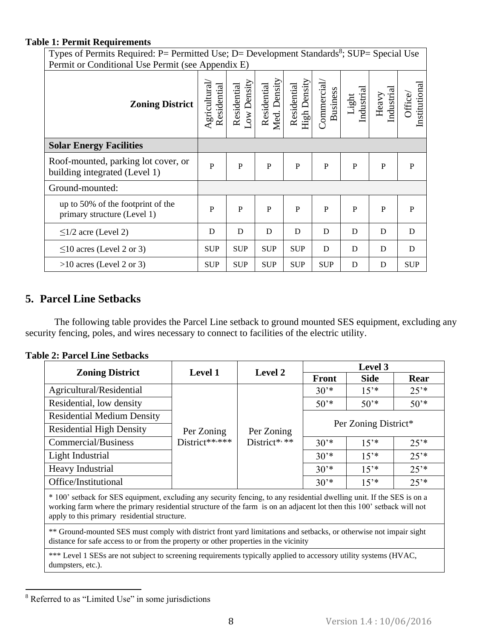#### **Table 1: Permit Requirements**

Types of Permits Required: P= Permitted Use; D= Development Standards<sup>8</sup>; SUP= Special Use Permit or Conditional Use Permit (see Appendix E)

| I CHIII OI CONGHIONAL OSC I CHIII (SCC AppenGIA L)                   |                             |                           |                             |                             |                               |                             |                     |                          |
|----------------------------------------------------------------------|-----------------------------|---------------------------|-----------------------------|-----------------------------|-------------------------------|-----------------------------|---------------------|--------------------------|
| <b>Zoning District</b>                                               | Agricultural<br>Residential | ow Density<br>Residential | Med. Density<br>Residential | High Density<br>Residential | Commercial<br><b>Business</b> | Industrial<br>${\rm Light}$ | Industrial<br>Heavy | Institutional<br>Office/ |
| <b>Solar Energy Facilities</b>                                       |                             |                           |                             |                             |                               |                             |                     |                          |
| Roof-mounted, parking lot cover, or<br>building integrated (Level 1) | $\mathbf{P}$                | $\mathbf{P}$              | $\mathbf{P}$                | $\mathbf P$                 | $\mathbf{P}$                  | $\mathbf{P}$                | $\mathbf{P}$        | P                        |
| Ground-mounted:                                                      |                             |                           |                             |                             |                               |                             |                     |                          |
| up to 50% of the footprint of the<br>primary structure (Level 1)     | ${\bf P}$                   | $\mathbf{P}$              | $\mathbf{P}$                | $\mathbf P$                 | $\mathbf{P}$                  | $\mathbf{P}$                | $\mathbf P$         | $\mathbf{P}$             |
| $\leq$ 1/2 acre (Level 2)                                            | D                           | D                         | D                           | D                           | D                             | D                           | D                   | D                        |
| $\leq$ 10 acres (Level 2 or 3)                                       | <b>SUP</b>                  | <b>SUP</b>                | <b>SUP</b>                  | <b>SUP</b>                  | D                             | D                           | D                   | D                        |
| $>10$ acres (Level 2 or 3)                                           | <b>SUP</b>                  | <b>SUP</b>                | <b>SUP</b>                  | <b>SUP</b>                  | <b>SUP</b>                    | D                           | D                   | <b>SUP</b>               |

### <span id="page-9-0"></span>**5. Parcel Line Setbacks**

The following table provides the Parcel Line setback to ground mounted SES equipment, excluding any security fencing, poles, and wires necessary to connect to facilities of the electric utility.

| <b>Table 2: Parcel Line Setbacks</b> |
|--------------------------------------|
|--------------------------------------|

|                                   | <b>Level 1</b> | <b>Level 2</b> | Level 3              |             |           |  |
|-----------------------------------|----------------|----------------|----------------------|-------------|-----------|--|
| <b>Zoning District</b>            |                |                | <b>Front</b>         | <b>Side</b> | Rear      |  |
| Agricultural/Residential          |                |                | $30^{*}$             | $15^{*}$    | 25'       |  |
| Residential, low density          |                |                | $50^{*}$             | $50^{*}$    | $50^{*}$  |  |
| <b>Residential Medium Density</b> |                |                | Per Zoning District* |             |           |  |
| <b>Residential High Density</b>   | Per Zoning     | Per Zoning     |                      |             |           |  |
| Commercial/Business               | District****** | District*,**   | $30^{*}$             | $15^{*}$    | $25^{**}$ |  |
| Light Industrial                  |                |                | $30^{*}$             | $15^{*}$    | $25^{**}$ |  |
| Heavy Industrial                  |                |                | $30^{*}$             | $15^{*}$    | $25^{**}$ |  |
| Office/Institutional              |                |                | $30^{*}$             | $15^{*}$    | 25'       |  |

\* 100' setback for SES equipment, excluding any security fencing, to any residential dwelling unit. If the SES is on a working farm where the primary residential structure of the farm is on an adjacent lot then this 100' setback will not apply to this primary residential structure.

\*\* Ground-mounted SES must comply with district front yard limitations and setbacks, or otherwise not impair sight distance for safe access to or from the property or other properties in the vicinity

\*\*\* Level 1 SESs are not subject to screening requirements typically applied to accessory utility systems (HVAC, dumpsters, etc.).

l

<sup>&</sup>lt;sup>8</sup> Referred to as "Limited Use" in some jurisdictions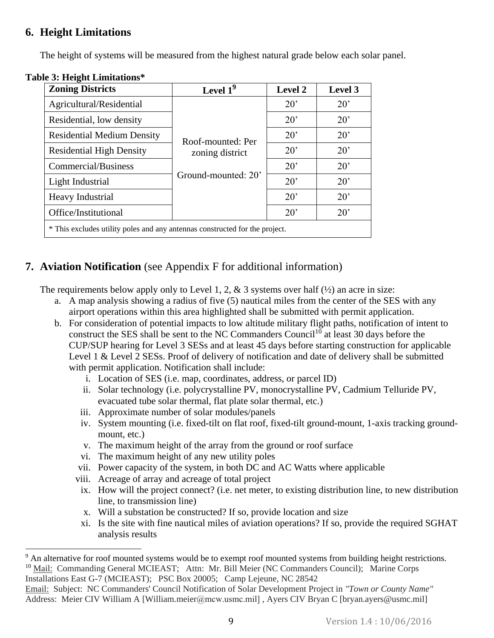### <span id="page-10-0"></span>**6. Height Limitations**

The height of systems will be measured from the highest natural grade below each solar panel.

| <b>Zoning Districts</b>                                                     | Level $19$          | Level 2      | Level 3      |  |  |  |
|-----------------------------------------------------------------------------|---------------------|--------------|--------------|--|--|--|
| Agricultural/Residential                                                    |                     | $20^{\circ}$ | $20^{\circ}$ |  |  |  |
| Residential, low density                                                    |                     | $20^{\circ}$ | $20^{\circ}$ |  |  |  |
| <b>Residential Medium Density</b>                                           | Roof-mounted: Per   | $20^{\circ}$ | $20^{\circ}$ |  |  |  |
| <b>Residential High Density</b>                                             | zoning district     | $20^{\circ}$ | $20^{\circ}$ |  |  |  |
| Commercial/Business                                                         |                     | $20^{\circ}$ | $20^{\circ}$ |  |  |  |
| Light Industrial                                                            | Ground-mounted: 20' | $20^{\circ}$ | $20^{\circ}$ |  |  |  |
| Heavy Industrial                                                            |                     | $20^{\circ}$ | $20^{\circ}$ |  |  |  |
| Office/Institutional                                                        |                     | $20^{\circ}$ | $20^{\circ}$ |  |  |  |
| * This excludes utility poles and any antennas constructed for the project. |                     |              |              |  |  |  |

### **Table 3: Height Limitations\***

# <span id="page-10-1"></span>**7. Aviation Notification** (see Appendix F for additional information)

The requirements below apply only to Level 1, 2, & 3 systems over half  $(\frac{1}{2})$  an acre in size:

- a. A map analysis showing a radius of five (5) nautical miles from the center of the SES with any airport operations within this area highlighted shall be submitted with permit application.
- b. For consideration of potential impacts to low altitude military flight paths, notification of intent to construct the SES shall be sent to the NC Commanders Council<sup>10</sup> at least 30 days before the CUP/SUP hearing for Level 3 SESs and at least 45 days before starting construction for applicable Level 1 & Level 2 SESs. Proof of delivery of notification and date of delivery shall be submitted with permit application. Notification shall include:
	- i. Location of SES (i.e. map, coordinates, address, or parcel ID)
	- ii. Solar technology (i.e. polycrystalline PV, monocrystalline PV, Cadmium Telluride PV, evacuated tube solar thermal, flat plate solar thermal, etc.)
	- iii. Approximate number of solar modules/panels
	- iv. System mounting (i.e. fixed-tilt on flat roof, fixed-tilt ground-mount, 1-axis tracking groundmount, etc.)
	- v. The maximum height of the array from the ground or roof surface
	- vi. The maximum height of any new utility poles
	- vii. Power capacity of the system, in both DC and AC Watts where applicable
	- viii. Acreage of array and acreage of total project
	- ix. How will the project connect? (i.e. net meter, to existing distribution line, to new distribution line, to transmission line)
	- x. Will a substation be constructed? If so, provide location and size
	- xi. Is the site with fine nautical miles of aviation operations? If so, provide the required SGHAT analysis results

l <sup>9</sup> An alternative for roof mounted systems would be to exempt roof mounted systems from building height restrictions. <sup>10</sup> Mail: Commanding General MCIEAST; Attn: Mr. Bill Meier (NC Commanders Council); Marine Corps

Installations East G-7 (MCIEAST); PSC Box 20005; Camp Lejeune, NC 28542

Email: Subject: NC Commanders' Council Notification of Solar Development Project in *"Town or County Name"* Address: Meier CIV William A [William.meier@mcw.usmc.mil], Ayers CIV Bryan C [bryan.ayers@usmc.mil]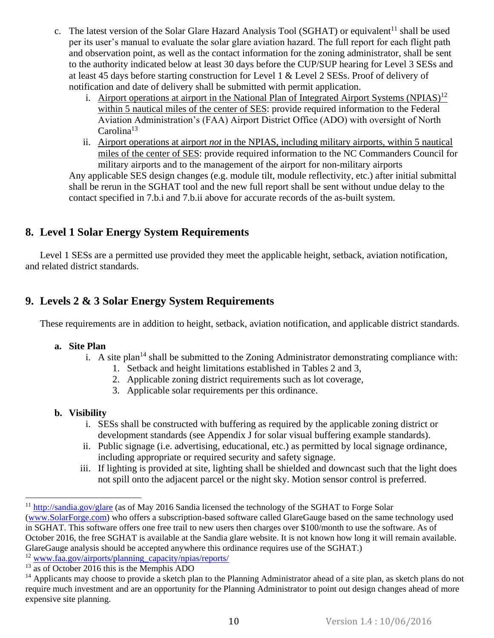- c. The latest version of the Solar Glare Hazard Analysis Tool (SGHAT) or equivalent<sup>11</sup> shall be used per its user's manual to evaluate the solar glare aviation hazard. The full report for each flight path and observation point, as well as the contact information for the zoning administrator, shall be sent to the authority indicated below at least 30 days before the CUP/SUP hearing for Level 3 SESs and at least 45 days before starting construction for Level 1 & Level 2 SESs. Proof of delivery of notification and date of delivery shall be submitted with permit application.
	- i. Airport operations at airport in the National Plan of Integrated Airport Systems (NPIAS)<sup>12</sup> within 5 nautical miles of the center of SES: provide required information to the Federal Aviation Administration's (FAA) Airport District Office (ADO) with oversight of North  $Carolina<sup>13</sup>$
	- ii. Airport operations at airport *not* in the NPIAS, including military airports, within 5 nautical miles of the center of SES: provide required information to the NC Commanders Council for military airports and to the management of the airport for non-military airports

Any applicable SES design changes (e.g. module tilt, module reflectivity, etc.) after initial submittal shall be rerun in the SGHAT tool and the new full report shall be sent without undue delay to the contact specified in 7.b.i and 7.b.ii above for accurate records of the as-built system.

### <span id="page-11-0"></span>**8. Level 1 Solar Energy System Requirements**

Level 1 SESs are a permitted use provided they meet the applicable height, setback, aviation notification, and related district standards.

# <span id="page-11-1"></span>**9. Levels 2 & 3 Solar Energy System Requirements**

These requirements are in addition to height, setback, aviation notification, and applicable district standards.

#### **a. Site Plan**

- i. A site plan<sup>14</sup> shall be submitted to the Zoning Administrator demonstrating compliance with:
	- 1. Setback and height limitations established in Tables 2 and 3,
	- 2. Applicable zoning district requirements such as lot coverage,
	- 3. Applicable solar requirements per this ordinance.

### **b. Visibility**

 $\overline{a}$ 

- i. SESs shall be constructed with buffering as required by the applicable zoning district or development standards (see Appendix J for solar visual buffering example standards).
- ii. Public signage (i.e. advertising, educational, etc.) as permitted by local signage ordinance, including appropriate or required security and safety signage.
- iii. If lighting is provided at site, lighting shall be shielded and downcast such that the light does not spill onto the adjacent parcel or the night sky. Motion sensor control is preferred.

<sup>&</sup>lt;sup>11</sup> <http://sandia.gov/glare> (as of May 2016 Sandia licensed the technology of the SGHAT to Forge Solar

[<sup>\(</sup>www.SolarForge.com\)](file:///C:/Users/Tommy/Dropbox/Solar%20Permitting%20Template%20Ordinance/drafts%20of%20template%20ordinance/www.SolarForge.com) who offers a subscription-based software called GlareGauge based on the same technology used in SGHAT. This software offers one free trail to new users then charges over \$100/month to use the software. As of October 2016, the free SGHAT is available at the Sandia glare website. It is not known how long it will remain available. GlareGauge analysis should be accepted anywhere this ordinance requires use of the SGHAT.)

<sup>&</sup>lt;sup>12</sup> [www.faa.gov/airports/planning\\_capacity/npias/reports/](file:///C:/Users/Tommy/Dropbox/Solar%20Permitting%20Template%20Ordinance/drafts%20of%20template%20ordinance/www.faa.gov/airports/planning_capacity/npias/reports/)

<sup>&</sup>lt;sup>13</sup> as of October 2016 this is the Memphis ADO

 $14$  Applicants may choose to provide a sketch plan to the Planning Administrator ahead of a site plan, as sketch plans do not require much investment and are an opportunity for the Planning Administrator to point out design changes ahead of more expensive site planning.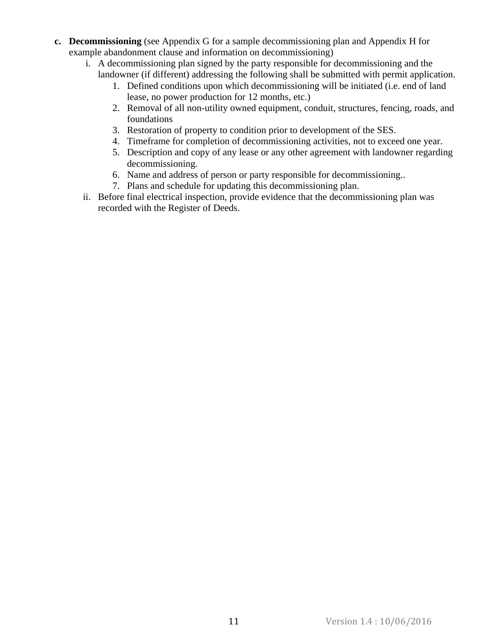- **c. Decommissioning** (see Appendix G for a sample decommissioning plan and Appendix H for example abandonment clause and information on decommissioning)
	- i. A decommissioning plan signed by the party responsible for decommissioning and the landowner (if different) addressing the following shall be submitted with permit application.
		- 1. Defined conditions upon which decommissioning will be initiated (i.e. end of land lease, no power production for 12 months, etc.)
		- 2. Removal of all non-utility owned equipment, conduit, structures, fencing, roads, and foundations
		- 3. Restoration of property to condition prior to development of the SES.
		- 4. Timeframe for completion of decommissioning activities, not to exceed one year.
		- 5. Description and copy of any lease or any other agreement with landowner regarding decommissioning.
		- 6. Name and address of person or party responsible for decommissioning..
		- 7. Plans and schedule for updating this decommissioning plan.
	- ii. Before final electrical inspection, provide evidence that the decommissioning plan was recorded with the Register of Deeds.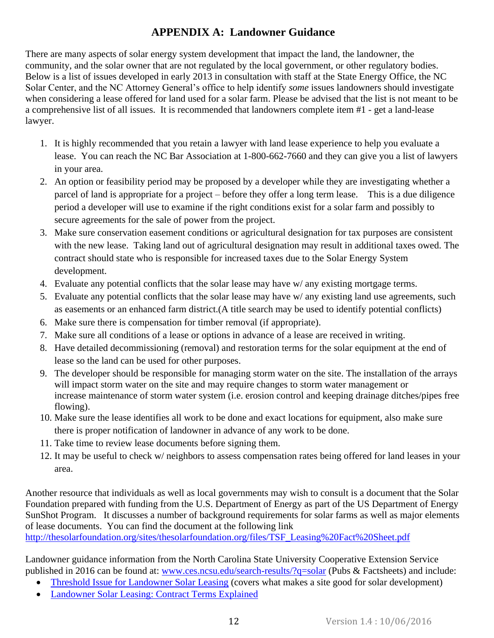## **APPENDIX A: Landowner Guidance**

<span id="page-13-0"></span>There are many aspects of solar energy system development that impact the land, the landowner, the community, and the solar owner that are not regulated by the local government, or other regulatory bodies. Below is a list of issues developed in early 2013 in consultation with staff at the State Energy Office, the NC Solar Center, and the NC Attorney General's office to help identify *some* issues landowners should investigate when considering a lease offered for land used for a solar farm. Please be advised that the list is not meant to be a comprehensive list of all issues. It is recommended that landowners complete item #1 - get a land-lease lawyer.

- 1. It is highly recommended that you retain a lawyer with land lease experience to help you evaluate a lease. You can reach the NC Bar Association at 1-800-662-7660 and they can give you a list of lawyers in your area.
- 2. An option or feasibility period may be proposed by a developer while they are investigating whether a parcel of land is appropriate for a project – before they offer a long term lease. This is a due diligence period a developer will use to examine if the right conditions exist for a solar farm and possibly to secure agreements for the sale of power from the project.
- 3. Make sure conservation easement conditions or agricultural designation for tax purposes are consistent with the new lease. Taking land out of agricultural designation may result in additional taxes owed. The contract should state who is responsible for increased taxes due to the Solar Energy System development.
- 4. Evaluate any potential conflicts that the solar lease may have w/ any existing mortgage terms.
- 5. Evaluate any potential conflicts that the solar lease may have w/ any existing land use agreements, such as easements or an enhanced farm district.(A title search may be used to identify potential conflicts)
- 6. Make sure there is compensation for timber removal (if appropriate).
- 7. Make sure all conditions of a lease or options in advance of a lease are received in writing.
- 8. Have detailed decommissioning (removal) and restoration terms for the solar equipment at the end of lease so the land can be used for other purposes.
- 9. The developer should be responsible for managing storm water on the site. The installation of the arrays will impact storm water on the site and may require changes to storm water management or increase maintenance of storm water system (i.e. erosion control and keeping drainage ditches/pipes free flowing).
- 10. Make sure the lease identifies all work to be done and exact locations for equipment, also make sure there is proper notification of landowner in advance of any work to be done.
- 11. Take time to review lease documents before signing them.
- 12. It may be useful to check w/ neighbors to assess compensation rates being offered for land leases in your area.

Another resource that individuals as well as local governments may wish to consult is a document that the Solar Foundation prepared with funding from the U.S. Department of Energy as part of the US Department of Energy SunShot Program. It discusses a number of background requirements for solar farms as well as major elements of lease documents. You can find the document at the following link

[http://thesolarfoundation.org/sites/thesolarfoundation.org/files/TSF\\_Leasing%20Fact%20Sheet.pdf](http://thesolarfoundation.org/sites/thesolarfoundation.org/files/TSF_Leasing%20Fact%20Sheet.pdf)

Landowner guidance information from the North Carolina State University Cooperative Extension Service published in 2016 can be found at: [www.ces.ncsu.edu/search-results/?q=solar](http://www.ces.ncsu.edu/search-results/?q=solar) (Pubs & Factsheets) and include:

- [Threshold Issue for Landowner Solar Leasing](https://content.ces.ncsu.edu/threshold-issues-for-landowner-solar-leasing) (covers what makes a site good for solar development)
- [Landowner Solar Leasing: Contract Terms Explained](https://content.ces.ncsu.edu/landowner-solar-leasing-contract-terms-explained)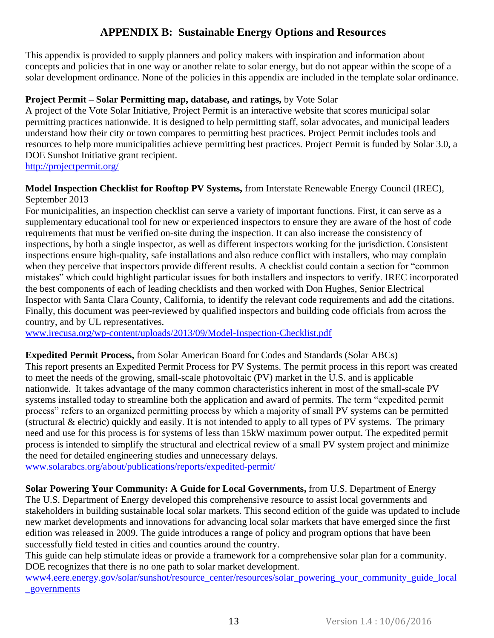### **APPENDIX B: Sustainable Energy Options and Resources**

<span id="page-14-0"></span>This appendix is provided to supply planners and policy makers with inspiration and information about concepts and policies that in one way or another relate to solar energy, but do not appear within the scope of a solar development ordinance. None of the policies in this appendix are included in the template solar ordinance.

#### **Project Permit – Solar Permitting map, database, and ratings,** by Vote Solar

A project of the Vote Solar Initiative, Project Permit is an interactive website that scores municipal solar permitting practices nationwide. It is designed to help permitting staff, solar advocates, and municipal leaders understand how their city or town compares to permitting best practices. Project Permit includes tools and resources to help more municipalities achieve permitting best practices. Project Permit is funded by Solar 3.0, a DOE Sunshot Initiative grant recipient.

<http://projectpermit.org/>

#### **Model Inspection Checklist for Rooftop PV Systems,** from Interstate Renewable Energy Council (IREC), September 2013

For municipalities, an inspection checklist can serve a variety of important functions. First, it can serve as a supplementary educational tool for new or experienced inspectors to ensure they are aware of the host of code requirements that must be verified on-site during the inspection. It can also increase the consistency of inspections, by both a single inspector, as well as different inspectors working for the jurisdiction. Consistent inspections ensure high-quality, safe installations and also reduce conflict with installers, who may complain when they perceive that inspectors provide different results. A checklist could contain a section for "common mistakes" which could highlight particular issues for both installers and inspectors to verify. IREC incorporated the best components of each of leading checklists and then worked with Don Hughes, Senior Electrical Inspector with Santa Clara County, California, to identify the relevant code requirements and add the citations. Finally, this document was peer-reviewed by qualified inspectors and building code officials from across the country, and by UL representatives.

[www.irecusa.org/wp-content/uploads/2013/09/Model-Inspection-Checklist.pdf](http://www.irecusa.org/wp-content/uploads/2013/09/Model-Inspection-Checklist.pdf)

**Expedited Permit Process,** from Solar American Board for Codes and Standards (Solar ABCs) This report presents an Expedited Permit Process for PV Systems. The permit process in this report was created to meet the needs of the growing, small-scale photovoltaic (PV) market in the U.S. and is applicable nationwide. It takes advantage of the many common characteristics inherent in most of the small-scale PV systems installed today to streamline both the application and award of permits. The term "expedited permit process" refers to an organized permitting process by which a majority of small PV systems can be permitted (structural & electric) quickly and easily. It is not intended to apply to all types of PV systems. The primary need and use for this process is for systems of less than 15kW maximum power output. The expedited permit process is intended to simplify the structural and electrical review of a small PV system project and minimize the need for detailed engineering studies and unnecessary delays.

[www.solarabcs.org/about/publications/reports/expedited-permit/](http://www.solarabcs.org/about/publications/reports/expedited-permit/)

**Solar Powering Your Community: A Guide for Local Governments,** from U.S. Department of Energy The U.S. Department of Energy developed this comprehensive resource to assist local governments and stakeholders in building sustainable local solar markets. This second edition of the guide was updated to include new market developments and innovations for advancing local solar markets that have emerged since the first edition was released in 2009. The guide introduces a range of policy and program options that have been successfully field tested in cities and counties around the country.

This guide can help stimulate ideas or provide a framework for a comprehensive solar plan for a community. DOE recognizes that there is no one path to solar market development.

[www4.eere.energy.gov/solar/sunshot/resource\\_center/resources/solar\\_powering\\_your\\_community\\_guide\\_local](http://www4.eere.energy.gov/solar/sunshot/resource_center/resources/solar_powering_your_community_guide_local_governments) [\\_governments](http://www4.eere.energy.gov/solar/sunshot/resource_center/resources/solar_powering_your_community_guide_local_governments)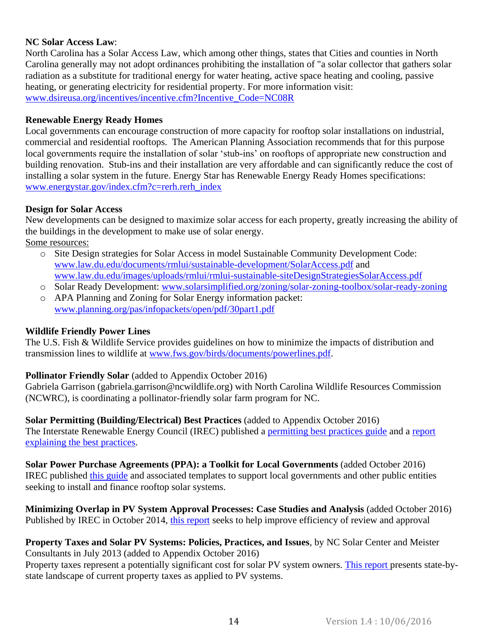#### **NC Solar Access Law**:

North Carolina has a Solar Access Law, which among other things, states that Cities and counties in North Carolina generally may not adopt ordinances prohibiting the installation of "a solar collector that gathers solar radiation as a substitute for traditional energy for water heating, active space heating and cooling, passive heating, or generating electricity for residential property. For more information visit: [www.dsireusa.org/incentives/incentive.cfm?Incentive\\_Code=NC08R](http://www.dsireusa.org/incentives/incentive.cfm?Incentive_Code=NC08R)

#### **Renewable Energy Ready Homes**

Local governments can encourage construction of more capacity for rooftop solar installations on industrial, commercial and residential rooftops. The American Planning Association recommends that for this purpose local governments require the installation of solar 'stub-ins' on rooftops of appropriate new construction and building renovation. Stub-ins and their installation are very affordable and can significantly reduce the cost of installing a solar system in the future. Energy Star has Renewable Energy Ready Homes specifications: [www.energystar.gov/index.cfm?c=rerh.rerh\\_index](http://www.energystar.gov/index.cfm?c=rerh.rerh_index)

#### **Design for Solar Access**

New developments can be designed to maximize solar access for each property, greatly increasing the ability of the buildings in the development to make use of solar energy. Some resources:

- o Site Design strategies for Solar Access in model Sustainable Community Development Code: [www.law.du.edu/documents/rmlui/sustainable-development/SolarAccess.pdf](http://www.law.du.edu/documents/rmlui/sustainable-development/SolarAccess.pdf) and [www.law.du.edu/images/uploads/rmlui/rmlui-sustainable-siteDesignStrategiesSolarAccess.pdf](http://www.law.du.edu/images/uploads/rmlui/rmlui-sustainable-siteDesignStrategiesSolarAccess.pdf)
- o Solar Ready Development: [www.solarsimplified.org/zoning/solar-zoning-toolbox/solar-ready-zoning](http://www.solarsimplified.org/zoning/solar-zoning-toolbox/solar-ready-zoning)
- o APA Planning and Zoning for Solar Energy information packet: [www.planning.org/pas/infopackets/open/pdf/30part1.pdf](http://www.planning.org/pas/infopackets/open/pdf/30part1.pdf)

#### **Wildlife Friendly Power Lines**

The U.S. Fish & Wildlife Service provides guidelines on how to minimize the impacts of distribution and transmission lines to wildlife at [www.fws.gov/birds/documents/powerlines.pdf.](http://www.fws.gov/birds/documents/powerlines.pdf)

### **Pollinator Friendly Solar** (added to Appendix October 2016)

Gabriela Garrison [\(gabriela.garrison@ncwildlife.org\)](mailto:gabriela.garrison@ncwildlife.org) with North Carolina Wildlife Resources Commission (NCWRC), is coordinating a pollinator-friendly solar farm program for NC.

**Solar Permitting (Building/Electrical) Best Practices** (added to Appendix October 2016) The Interstate Renewable Energy Council (IREC) published a [permitting best practices guide](http://www.irecusa.org/publications/solar-permitting-best-practices/) and a [report](http://www.irecusa.org/publications/residential-solar-permitting-best-practices-explained/)  [explaining the best practices.](http://www.irecusa.org/publications/residential-solar-permitting-best-practices-explained/)

**Solar Power Purchase Agreements (PPA): a Toolkit for Local Governments** (added October 2016) IREC published [this guide](http://www.irecusa.org/publications/solar-power-purchase-agreements-a-toolkit-for-local-governments/) and associated templates to support local governments and other public entities seeking to install and finance rooftop solar systems.

**Minimizing Overlap in PV System Approval Processes: Case Studies and Analysis** (added October 2016) Published by IREC in October 2014, [this report](http://www.irecusa.org/publications/minimizing-overlap-in-pv-system-approval-processes-case-studies-analysis/) seeks to help improve efficiency of review and approval

#### **Property Taxes and Solar PV Systems: Policies, Practices, and Issues**, by NC Solar Center and Meister Consultants in July 2013 (added to Appendix October 2016)

Property taxes represent a potentially significant cost for solar PV system owners. [This report p](https://nccleantech.ncsu.edu/wp-content/uploads/Property-Taxes-and-Solar-PV-Systems-2013.pdf)resents state-bystate landscape of current property taxes as applied to PV systems.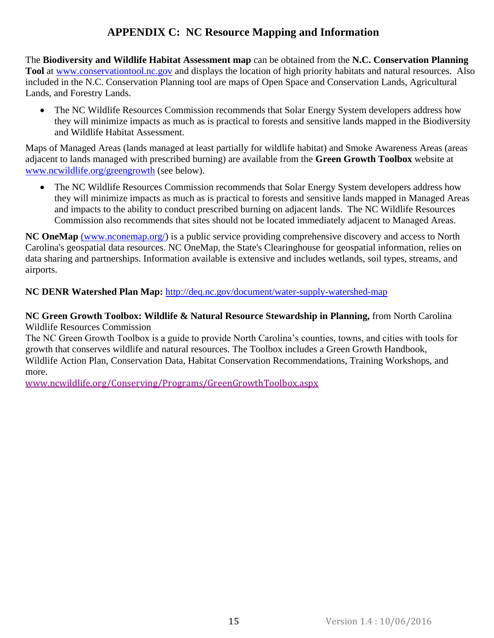## **APPENDIX C: NC Resource Mapping and Information**

<span id="page-16-0"></span>The **Biodiversity and Wildlife Habitat Assessment map** can be obtained from the **N.C. Conservation Planning Tool** at [www.conservationtool.nc.gov](http://www.conservationtool.nc.gov/) and displays the location of high priority habitats and natural resources. Also included in the N.C. Conservation Planning tool are maps of Open Space and Conservation Lands, Agricultural Lands, and Forestry Lands.

• The NC Wildlife Resources Commission recommends that Solar Energy System developers address how they will minimize impacts as much as is practical to forests and sensitive lands mapped in the Biodiversity and Wildlife Habitat Assessment.

Maps of Managed Areas (lands managed at least partially for wildlife habitat) and Smoke Awareness Areas (areas adjacent to lands managed with prescribed burning) are available from the **Green Growth Toolbox** website at [www.ncwildlife.org/greengrowth](http://www.ncwildlife.org/greengrowth) (see below).

• The NC Wildlife Resources Commission recommends that Solar Energy System developers address how they will minimize impacts as much as is practical to forests and sensitive lands mapped in Managed Areas and impacts to the ability to conduct prescribed burning on adjacent lands. The NC Wildlife Resources Commission also recommends that sites should not be located immediately adjacent to Managed Areas.

**NC OneMap** [\(www.nconemap.org/\)](http://(www.nconemap.org/) is a public service providing comprehensive discovery and access to North Carolina's geospatial data resources. NC OneMap, the State's Clearinghouse for geospatial information, relies on data sharing and partnerships. Information available is extensive and includes wetlands, soil types, streams, and airports.

### **NC DENR Watershed Plan Map:** <http://deq.nc.gov/document/water-supply-watershed-map>

#### **NC Green Growth Toolbox: Wildlife & Natural Resource Stewardship in Planning,** from North Carolina Wildlife Resources Commission

The NC Green Growth Toolbox is a guide to provide North Carolina's counties, towns, and cities with tools for growth that conserves wildlife and natural resources. The Toolbox includes a Green Growth Handbook, Wildlife Action Plan, Conservation Data, Habitat Conservation Recommendations, Training Workshops, and more.

[www.ncwildlife.org/Conserving/Programs/GreenGrowthToolbox.aspx](http://www.ncwildlife.org/Conserving/Programs/GreenGrowthToolbox.aspx)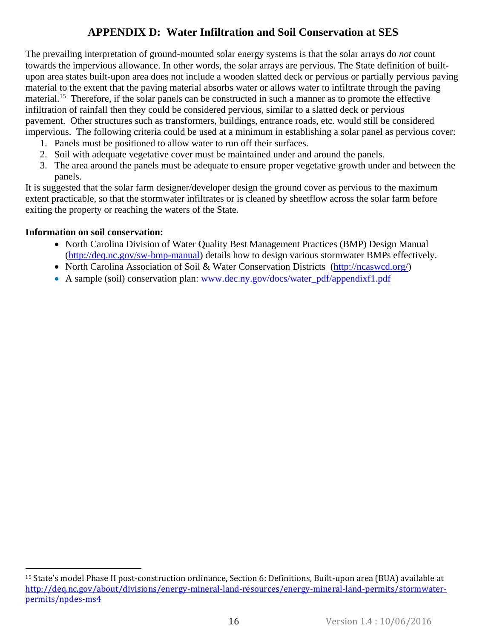## **APPENDIX D: Water Infiltration and Soil Conservation at SES**

<span id="page-17-0"></span>The prevailing interpretation of ground-mounted solar energy systems is that the solar arrays do *not* count towards the impervious allowance. In other words, the solar arrays are pervious. The State definition of builtupon area states built-upon area does not include a wooden slatted deck or pervious or partially pervious paving material to the extent that the paving material absorbs water or allows water to infiltrate through the paving material.<sup>15</sup> Therefore, if the solar panels can be constructed in such a manner as to promote the effective infiltration of rainfall then they could be considered pervious, similar to a slatted deck or pervious pavement. Other structures such as transformers, buildings, entrance roads, etc. would still be considered impervious. The following criteria could be used at a minimum in establishing a solar panel as pervious cover:

- 1. Panels must be positioned to allow water to run off their surfaces.
- 2. Soil with adequate vegetative cover must be maintained under and around the panels.
- 3. The area around the panels must be adequate to ensure proper vegetative growth under and between the panels.

It is suggested that the solar farm designer/developer design the ground cover as pervious to the maximum extent practicable, so that the stormwater infiltrates or is cleaned by sheetflow across the solar farm before exiting the property or reaching the waters of the State.

#### **Information on soil conservation:**

 $\overline{a}$ 

- North Carolina Division of Water Quality Best Management Practices (BMP) Design Manual [\(http://deq.nc.gov/sw-bmp-manual\)](http://deq.nc.gov/sw-bmp-manual) details how to design various stormwater BMPs effectively.
- [North Carolina Association of Soil & Water Conservation Districts \(http://ncaswcd.org/\)](http://ncaswcd.org/)
- A sample (soil) conservation plan: [www.dec.ny.gov/docs/water\\_pdf/appendixf1.pdf](http://www.dec.ny.gov/docs/water_pdf/appendixf1.pdf)

<sup>15</sup> State's model Phase II post-construction ordinance, Section 6: Definitions, Built-upon area (BUA) available at [http://deq.nc.gov/about/divisions/energy-mineral-land-resources/energy-mineral-land-permits/stormwater](http://deq.nc.gov/about/divisions/energy-mineral-land-resources/energy-mineral-land-permits/stormwater-permits/npdes-ms4)[permits/npdes-ms4](http://deq.nc.gov/about/divisions/energy-mineral-land-resources/energy-mineral-land-permits/stormwater-permits/npdes-ms4)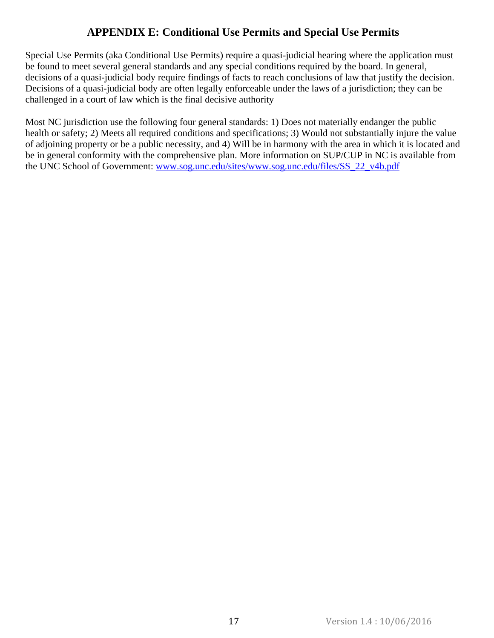### **APPENDIX E: Conditional Use Permits and Special Use Permits**

<span id="page-18-0"></span>Special Use Permits (aka Conditional Use Permits) require a quasi-judicial hearing where the application must be found to meet several general standards and any special conditions required by the board. In general, decisions of a quasi-judicial body require findings of facts to reach conclusions of law that justify the decision. Decisions of a quasi-judicial body are often legally enforceable under the laws of a jurisdiction; they can be challenged in a court of law which is the final decisive authority

Most NC jurisdiction use the following four general standards: 1) Does not materially endanger the public health or safety; 2) Meets all required conditions and specifications; 3) Would not substantially injure the value of adjoining property or be a public necessity, and 4) Will be in harmony with the area in which it is located and be in general conformity with the comprehensive plan. More information on SUP/CUP in NC is available from the UNC School of Government: [www.sog.unc.edu/sites/www.sog.unc.edu/files/SS\\_22\\_v4b.pdf](http://www.sog.unc.edu/sites/www.sog.unc.edu/files/SS_22_v4b.pdf)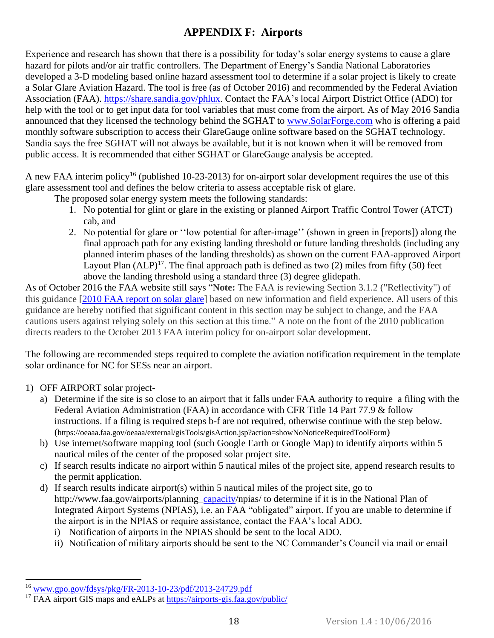## **APPENDIX F: Airports**

<span id="page-19-0"></span>Experience and research has shown that there is a possibility for today's solar energy systems to cause a glare hazard for pilots and/or air traffic controllers. The Department of Energy's Sandia National Laboratories developed a 3-D modeling based online hazard assessment tool to determine if a solar project is likely to create a Solar Glare Aviation Hazard. The tool is free (as of October 2016) and recommended by the Federal Aviation Association (FAA). [https://share.sandia.gov/phlux.](https://share.sandia.gov/phlux) Contact the FAA's local Airport District Office (ADO) for help with the tool or to get input data for tool variables that must come from the airport. As of May 2016 Sandia announced that they licensed the technology behind the SGHAT to [www.SolarForge.com](http://www.solarforge.com/) who is offering a paid monthly software subscription to access their GlareGauge online software based on the SGHAT technology. Sandia says the free SGHAT will not always be available, but it is not known when it will be removed from public access. It is recommended that either SGHAT or GlareGauge analysis be accepted.

A new FAA interim policy<sup>16</sup> (published 10-23-2013) for on-airport solar development requires the use of this glare assessment tool and defines the below criteria to assess acceptable risk of glare.

The proposed solar energy system meets the following standards:

- 1. No potential for glint or glare in the existing or planned Airport Traffic Control Tower (ATCT) cab, and
- 2. No potential for glare or ''low potential for after-image'' (shown in green in [reports]) along the final approach path for any existing landing threshold or future landing thresholds (including any planned interim phases of the landing thresholds) as shown on the current FAA-approved Airport Layout Plan  $(ALP)^{17}$ . The final approach path is defined as two (2) miles from fifty (50) feet above the landing threshold using a standard three (3) degree glidepath.

As of October 2016 the FAA website still says "**Note:** The FAA is reviewing Section 3.1.2 ("Reflectivity") of this guidance [\[2010 FAA report on solar glare\]](https://www.faa.gov/airports/environmental/policy_guidance/media/airport-solar-guide.pdf) based on new information and field experience. All users of this guidance are hereby notified that significant content in this section may be subject to change, and the FAA cautions users against relying solely on this section at this time." A note on the front of the 2010 publication directs readers to the October 2013 FAA interim policy for on-airport solar development.

The following are recommended steps required to complete the aviation notification requirement in the template solar ordinance for NC for SESs near an airport.

### 1) OFF AIRPORT solar project-

 $\overline{a}$ 

- a) Determine if the site is so close to an airport that it falls under FAA authority to require a filing with the Federal Aviation Administration (FAA) in accordance with CFR Title 14 Part 77.9 & follow instructions. If a filing is required steps b-f are not required, otherwise continue with the step below. (<https://oeaaa.faa.gov/oeaaa/external/gisTools/gisAction.jsp?action=showNoNoticeRequiredToolForm>)
- b) Use internet/software mapping tool (such Google Earth or Google Map) to identify airports within 5 nautical miles of the center of the proposed solar project site.
- c) If search results indicate no airport within 5 nautical miles of the project site, append research results to the permit application.
- d) If search results indicate airport(s) within 5 nautical miles of the project site, go to http://www.faa.gov/airports/planning capacity/npias/ to determine if it is in the National Plan of Integrated Airport Systems (NPIAS), i.e. an FAA "obligated" airport. If you are unable to determine if the airport is in the NPIAS or require assistance, contact the FAA's local ADO.
	- i) Notification of airports in the NPIAS should be sent to the local ADO.
	- ii) Notification of military airports should be sent to the NC Commander's Council via mail or email

<sup>16</sup> [www.gpo.gov/fdsys/pkg/FR-2013-10-23/pdf/2013-24729.pdf](http://www.gpo.gov/fdsys/pkg/FR-2013-10-23/pdf/2013-24729.pdf)

<sup>&</sup>lt;sup>17</sup> FAA airport GIS maps and eALPs at<https://airports-gis.faa.gov/public/>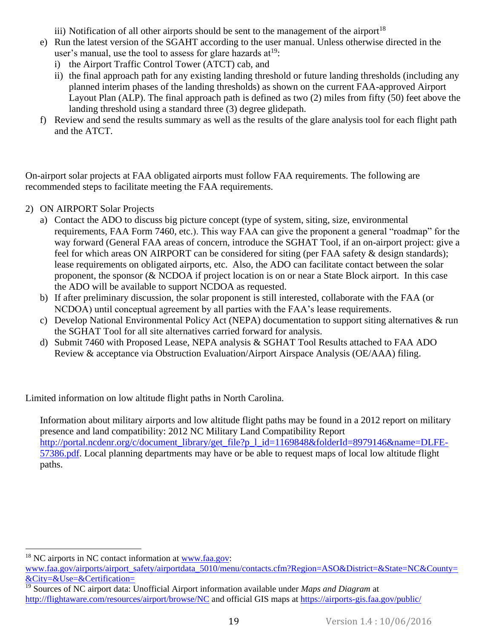iii) Notification of all other airports should be sent to the management of the airport<sup>18</sup>

- e) Run the latest version of the SGAHT according to the user manual. Unless otherwise directed in the user's manual, use the tool to assess for glare hazards  $at^{19}$ :
	- i) the Airport Traffic Control Tower (ATCT) cab, and
	- ii) the final approach path for any existing landing threshold or future landing thresholds (including any planned interim phases of the landing thresholds) as shown on the current FAA-approved Airport Layout Plan (ALP). The final approach path is defined as two (2) miles from fifty (50) feet above the landing threshold using a standard three (3) degree glidepath.
- f) Review and send the results summary as well as the results of the glare analysis tool for each flight path and the ATCT.

On-airport solar projects at FAA obligated airports must follow FAA requirements. The following are recommended steps to facilitate meeting the FAA requirements.

2) ON AIRPORT Solar Projects

l

- a) Contact the ADO to discuss big picture concept (type of system, siting, size, environmental requirements, FAA Form 7460, etc.). This way FAA can give the proponent a general "roadmap" for the way forward (General FAA areas of concern, introduce the SGHAT Tool, if an on-airport project: give a feel for which areas ON AIRPORT can be considered for siting (per FAA safety & design standards); lease requirements on obligated airports, etc. Also, the ADO can facilitate contact between the solar proponent, the sponsor (& NCDOA if project location is on or near a State Block airport. In this case the ADO will be available to support NCDOA as requested.
- b) If after preliminary discussion, the solar proponent is still interested, collaborate with the FAA (or NCDOA) until conceptual agreement by all parties with the FAA's lease requirements.
- c) Develop National Environmental Policy Act (NEPA) documentation to support siting alternatives & run the SGHAT Tool for all site alternatives carried forward for analysis.
- d) Submit 7460 with Proposed Lease, NEPA analysis & SGHAT Tool Results attached to FAA ADO Review & acceptance via Obstruction Evaluation/Airport Airspace Analysis (OE/AAA) filing.

Limited information on low altitude flight paths in North Carolina.

Information about military airports and low altitude flight paths may be found in a 2012 report on military presence and land compatibility: 2012 NC Military Land Compatibility Report [http://portal.ncdenr.org/c/document\\_library/get\\_file?p\\_l\\_id=1169848&folderId=8979146&name=DLFE-](http://portal.ncdenr.org/c/document_library/get_file?p_l_id=1169848&folderId=8979146&name=DLFE-57386.pdf)[57386.pdf.](http://portal.ncdenr.org/c/document_library/get_file?p_l_id=1169848&folderId=8979146&name=DLFE-57386.pdf) Local planning departments may have or be able to request maps of local low altitude flight paths.

 $18$  NC airports in NC contact information at [www.faa.gov:](http://www.faa.gov/) [www.faa.gov/airports/airport\\_safety/airportdata\\_5010/menu/contacts.cfm?Region=ASO&District=&State=NC&County=](http://www.faa.gov/airports/airport_safety/airportdata_5010/menu/contacts.cfm?Region=ASO&District=&State=NC&County=&City=&Use=&Certification=) [&City=&Use=&Certification=](http://www.faa.gov/airports/airport_safety/airportdata_5010/menu/contacts.cfm?Region=ASO&District=&State=NC&County=&City=&Use=&Certification=)

<sup>19</sup> Sources of NC airport data: Unofficial Airport information available under *Maps and Diagram* at <http://flightaware.com/resources/airport/browse/NC> and official GIS maps at<https://airports-gis.faa.gov/public/>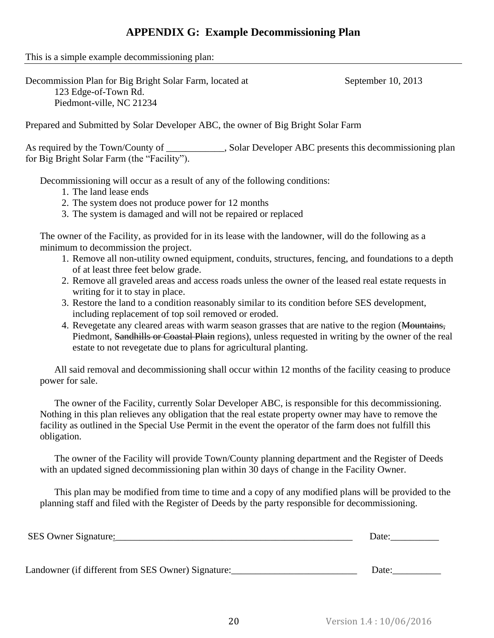### **APPENDIX G: Example Decommissioning Plan**

<span id="page-21-0"></span>This is a simple example decommissioning plan:

Decommission Plan for Big Bright Solar Farm, located at September 10, 2013 123 Edge-of-Town Rd. Piedmont-ville, NC 21234

Prepared and Submitted by Solar Developer ABC, the owner of Big Bright Solar Farm

As required by the Town/County of \_\_\_\_\_\_\_\_\_\_\_, Solar Developer ABC presents this decommissioning plan for Big Bright Solar Farm (the "Facility").

Decommissioning will occur as a result of any of the following conditions:

- 1. The land lease ends
- 2. The system does not produce power for 12 months
- 3. The system is damaged and will not be repaired or replaced

The owner of the Facility, as provided for in its lease with the landowner, will do the following as a minimum to decommission the project.

- 1. Remove all non-utility owned equipment, conduits, structures, fencing, and foundations to a depth of at least three feet below grade.
- 2. Remove all graveled areas and access roads unless the owner of the leased real estate requests in writing for it to stay in place.
- 3. Restore the land to a condition reasonably similar to its condition before SES development, including replacement of top soil removed or eroded.
- 4. Revegetate any cleared areas with warm season grasses that are native to the region (Mountains, Piedmont, Sandhills or Coastal Plain regions), unless requested in writing by the owner of the real estate to not revegetate due to plans for agricultural planting.

All said removal and decommissioning shall occur within 12 months of the facility ceasing to produce power for sale.

The owner of the Facility, currently Solar Developer ABC, is responsible for this decommissioning. Nothing in this plan relieves any obligation that the real estate property owner may have to remove the facility as outlined in the Special Use Permit in the event the operator of the farm does not fulfill this obligation.

The owner of the Facility will provide Town/County planning department and the Register of Deeds with an updated signed decommissioning plan within 30 days of change in the Facility Owner.

This plan may be modified from time to time and a copy of any modified plans will be provided to the planning staff and filed with the Register of Deeds by the party responsible for decommissioning.

| SES Owner Signature:                               | Date: |
|----------------------------------------------------|-------|
|                                                    |       |
| Landowner (if different from SES Owner) Signature: | Date: |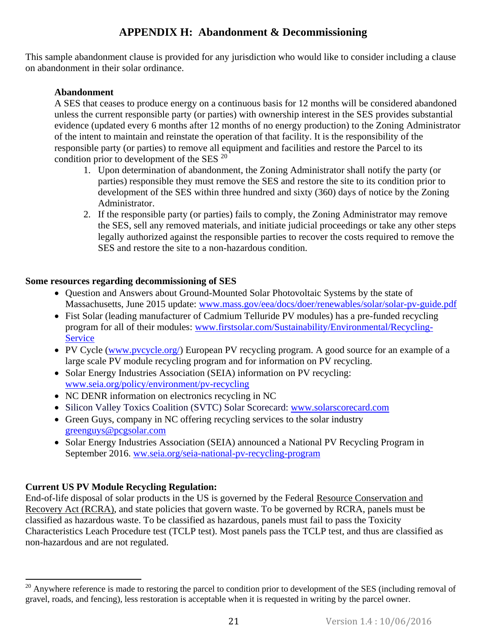## **APPENDIX H: Abandonment & Decommissioning**

<span id="page-22-0"></span>This sample abandonment clause is provided for any jurisdiction who would like to consider including a clause on abandonment in their solar ordinance.

### **Abandonment**

A SES that ceases to produce energy on a continuous basis for 12 months will be considered abandoned unless the current responsible party (or parties) with ownership interest in the SES provides substantial evidence (updated every 6 months after 12 months of no energy production) to the Zoning Administrator of the intent to maintain and reinstate the operation of that facility. It is the responsibility of the responsible party (or parties) to remove all equipment and facilities and restore the Parcel to its condition prior to development of the SES  $^{20}$ 

- 1. Upon determination of abandonment, the Zoning Administrator shall notify the party (or parties) responsible they must remove the SES and restore the site to its condition prior to development of the SES within three hundred and sixty (360) days of notice by the Zoning Administrator.
- 2. If the responsible party (or parties) fails to comply, the Zoning Administrator may remove the SES, sell any removed materials, and initiate judicial proceedings or take any other steps legally authorized against the responsible parties to recover the costs required to remove the SES and restore the site to a non-hazardous condition.

#### **Some resources regarding decommissioning of SES**

- Ouestion and Answers about Ground-Mounted Solar Photovoltaic Systems by the state of Massachusetts, June 2015 update: [www.mass.gov/eea/docs/doer/renewables/solar/solar-pv-guide.pdf](file:///C:/Users/Tommy/Dropbox/Solar%20Permitting%20Template%20Ordinance/drafts%20of%20template%20ordinance/www.mass.gov/eea/docs/doer/renewables/solar/solar-pv-guide.pdf)
- Fist Solar (leading manufacturer of Cadmium Telluride PV modules) has a pre-funded recycling program for all of their modules: [www.firstsolar.com/Sustainability/Environmental/Recycling-](http://www.firstsolar.com/Sustainability/Environmental/Recycling-Service)**[Service](http://www.firstsolar.com/Sustainability/Environmental/Recycling-Service)**
- PV Cycle [\(www.pvcycle.org/\)](http://www.pvcycle.org/) European PV recycling program. A good source for an example of a large scale PV module recycling program and for information on PV recycling.
- Solar Energy Industries Association (SEIA) information on PV recycling: [www.seia.org/policy/environment/pv-recycling](http://www.seia.org/policy/environment/pv-recycling)
- NC DENR information on electronics recycling in NC
- Silicon Valley Toxics Coalition (SVTC) Solar Scorecard: [www.solarscorecard.com](http://www.solarscorecard.com/)
- Green Guys, company in NC offering recycling services to the solar industry [greenguys@pcgsolar.com](mailto:greenguys@pcgsolar.com)
- Solar Energy Industries Association (SEIA) announced a National PV Recycling Program in September 2016. [ww.seia.org/seia-national-pv-recycling-program](http://www.seia.org/seia-national-pv-recycling-program)

### **Current US PV Module Recycling Regulation:**

 $\overline{a}$ 

End-of-life disposal of solar products in the US is governed by the Federal [Resource Conservation and](http://www.epa.gov/lawsregs/laws/rcra.html)  [Recovery Act \(RCRA\),](http://www.epa.gov/lawsregs/laws/rcra.html) and state policies that govern waste. To be governed by RCRA, panels must be classified as hazardous waste. To be classified as hazardous, panels must fail to pass the Toxicity Characteristics Leach Procedure test (TCLP test). Most panels pass the TCLP test, and thus are classified as non-hazardous and are not regulated.

<sup>&</sup>lt;sup>20</sup> Anywhere reference is made to restoring the parcel to condition prior to development of the SES (including removal of gravel, roads, and fencing), less restoration is acceptable when it is requested in writing by the parcel owner.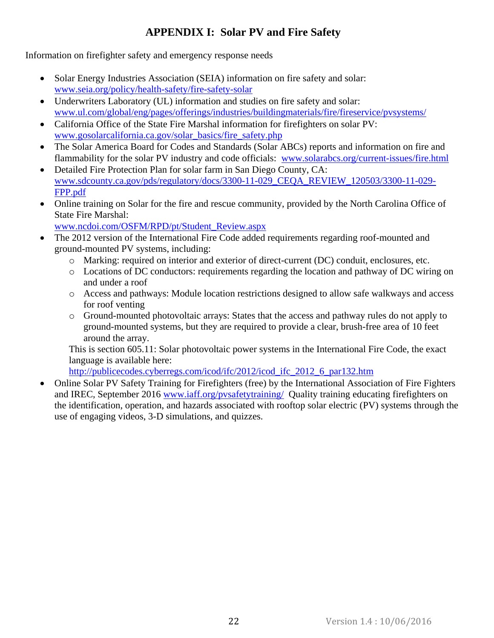## **APPENDIX I: Solar PV and Fire Safety**

<span id="page-23-0"></span>Information on firefighter safety and emergency response needs

- Solar Energy Industries Association (SEIA) information on fire safety and solar: [www.seia.org/policy/health-safety/fire-safety-solar](http://www.seia.org/policy/health-safety/fire-safety-solar)
- Underwriters Laboratory (UL) information and studies on fire safety and solar: [www.ul.com/global/eng/pages/offerings/industries/buildingmaterials/fire/fireservice/pvsystems/](http://www.ul.com/global/eng/pages/offerings/industries/buildingmaterials/fire/fireservice/pvsystems/)
- California Office of the State Fire Marshal information for firefighters on solar PV: [www.gosolarcalifornia.ca.gov/solar\\_basics/fire\\_safety.php](http://www.gosolarcalifornia.ca.gov/solar_basics/fire_safety.php)
- The Solar America Board for Codes and Standards (Solar ABCs) reports and information on fire and flammability for the solar PV industry and code officials: [www.solarabcs.org/current-issues/fire.html](http://www.solarabcs.org/current-issues/fire.html)
- Detailed Fire Protection Plan for solar farm in San Diego County, CA: [www.sdcounty.ca.gov/pds/regulatory/docs/3300-11-029\\_CEQA\\_REVIEW\\_120503/3300-11-029-](http://www.sdcounty.ca.gov/pds/regulatory/docs/3300-11-029_CEQA_REVIEW_120503/3300-11-029-FPP.pdf) [FPP.pdf](http://www.sdcounty.ca.gov/pds/regulatory/docs/3300-11-029_CEQA_REVIEW_120503/3300-11-029-FPP.pdf)
- Online training on Solar for the fire and rescue community, provided by the North Carolina Office of State Fire Marshal:
- [www.ncdoi.com/OSFM/RPD/pt/Student\\_Review.aspx](http://www.ncdoi.com/OSFM/RPD/pt/Student_Review.aspx)
- The 2012 version of the International Fire Code added requirements regarding roof-mounted and ground-mounted PV systems, including:
	- o Marking: required on interior and exterior of direct-current (DC) conduit, enclosures, etc.
	- o Locations of DC conductors: requirements regarding the location and pathway of DC wiring on and under a roof
	- o Access and pathways: Module location restrictions designed to allow safe walkways and access for roof venting
	- o Ground-mounted photovoltaic arrays: States that the access and pathway rules do not apply to ground-mounted systems, but they are required to provide a clear, brush-free area of 10 feet around the array.

This is section 605.11: Solar photovoltaic power systems in the International Fire Code, the exact language is available here:

[http://publicecodes.cyberregs.com/icod/ifc/2012/icod\\_ifc\\_2012\\_6\\_par132.htm](http://publicecodes.cyberregs.com/icod/ifc/2012/icod_ifc_2012_6_par132.htm)

 Online Solar PV Safety Training for Firefighters (free) by the International Association of Fire Fighters and IREC, September 2016 [www.iaff.org/pvsafetytraining/](file:///C:/Users/Tommy/Dropbox/Solar%20Permitting%20Template%20Ordinance/drafts%20of%20template%20ordinance/www.iaff.org/pvsafetytraining/) Quality training educating firefighters on the identification, operation, and hazards associated with rooftop solar electric (PV) systems through the use of engaging videos, 3-D simulations, and quizzes.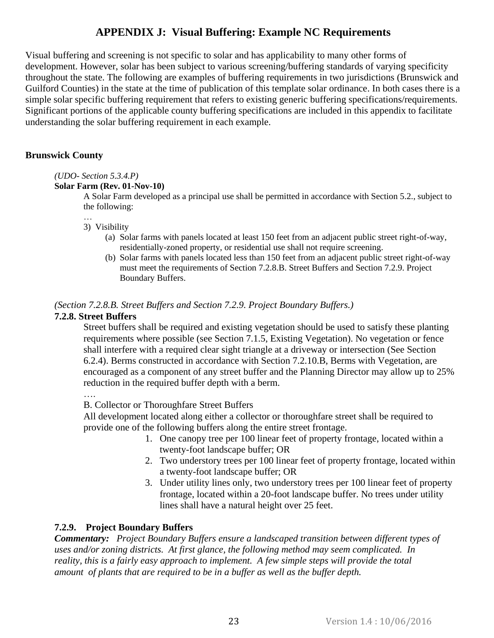### **APPENDIX J: Visual Buffering: Example NC Requirements**

<span id="page-24-0"></span>Visual buffering and screening is not specific to solar and has applicability to many other forms of development. However, solar has been subject to various screening/buffering standards of varying specificity throughout the state. The following are examples of buffering requirements in two jurisdictions (Brunswick and Guilford Counties) in the state at the time of publication of this template solar ordinance. In both cases there is a simple solar specific buffering requirement that refers to existing generic buffering specifications/requirements. Significant portions of the applicable county buffering specifications are included in this appendix to facilitate understanding the solar buffering requirement in each example.

#### **Brunswick County**

#### *(UDO- Section 5.3.4.P)*

#### **Solar Farm (Rev. 01-Nov-10)**

A Solar Farm developed as a principal use shall be permitted in accordance with Section 5.2., subject to the following:

#### … 3) Visibility

- (a) Solar farms with panels located at least 150 feet from an adjacent public street right-of-way, residentially-zoned property, or residential use shall not require screening.
- (b) Solar farms with panels located less than 150 feet from an adjacent public street right-of-way must meet the requirements of Section 7.2.8.B. Street Buffers and Section 7.2.9. Project Boundary Buffers.

#### *(Section 7.2.8.B. Street Buffers and Section 7.2.9. Project Boundary Buffers.)*

#### **7.2.8. Street Buffers**

Street buffers shall be required and existing vegetation should be used to satisfy these planting requirements where possible (see Section 7.1.5, Existing Vegetation). No vegetation or fence shall interfere with a required clear sight triangle at a driveway or intersection (See Section 6.2.4). Berms constructed in accordance with Section 7.2.10.B, Berms with Vegetation, are encouraged as a component of any street buffer and the Planning Director may allow up to 25% reduction in the required buffer depth with a berm.

….

B. Collector or Thoroughfare Street Buffers

All development located along either a collector or thoroughfare street shall be required to provide one of the following buffers along the entire street frontage.

- 1. One canopy tree per 100 linear feet of property frontage, located within a twenty-foot landscape buffer; OR
- 2. Two understory trees per 100 linear feet of property frontage, located within a twenty-foot landscape buffer; OR
- 3. Under utility lines only, two understory trees per 100 linear feet of property frontage, located within a 20-foot landscape buffer. No trees under utility lines shall have a natural height over 25 feet.

#### **7.2.9. Project Boundary Buffers**

*Commentary: Project Boundary Buffers ensure a landscaped transition between different types of uses and/or zoning districts. At first glance, the following method may seem complicated. In reality, this is a fairly easy approach to implement. A few simple steps will provide the total amount of plants that are required to be in a buffer as well as the buffer depth.*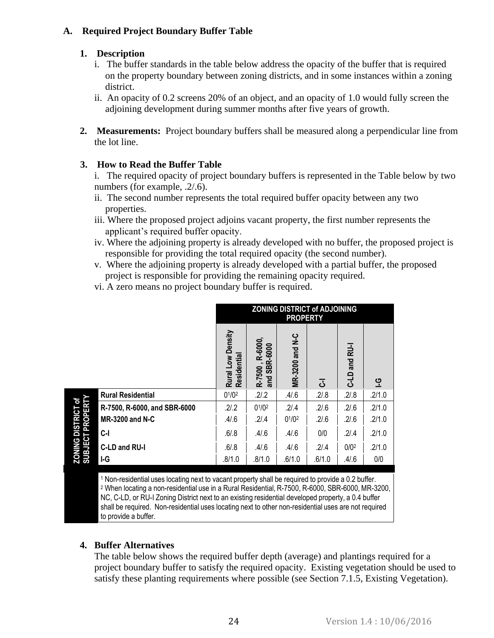#### **A. Required Project Boundary Buffer Table**

#### **1. Description**

- i. The buffer standards in the table below address the opacity of the buffer that is required on the property boundary between zoning districts, and in some instances within a zoning district.
- ii. An opacity of 0.2 screens 20% of an object, and an opacity of 1.0 would fully screen the adjoining development during summer months after five years of growth.
- **2. Measurements:** Project boundary buffers shall be measured along a perpendicular line from the lot line.

### **3. How to Read the Buffer Table**

i. The required opacity of project boundary buffers is represented in the Table below by two numbers (for example,  $.2/0.6$ ).

- ii. The second number represents the total required buffer opacity between any two properties.
- iii. Where the proposed project adjoins vacant property, the first number represents the applicant's required buffer opacity.
- iv. Where the adjoining property is already developed with no buffer, the proposed project is responsible for providing the total required opacity (the second number).
- v. Where the adjoining property is already developed with a partial buffer, the proposed project is responsible for providing the remaining opacity required.
- vi. A zero means no project boundary buffer is required.

|                                               |                              | <b>ZONING DISTRICT of ADJOINING</b><br><b>PROPERTY</b> |                                        |                        |        |                         |           |
|-----------------------------------------------|------------------------------|--------------------------------------------------------|----------------------------------------|------------------------|--------|-------------------------|-----------|
|                                               |                              | Rural Low Density<br>Residential                       | , R-6000,<br>SBR-6000<br>R-7500<br>and | <b>MR-3200 and N-C</b> | 3      | and RU-I<br><b>QT-0</b> | <u>ပု</u> |
|                                               | <b>Rural Residential</b>     | $0^{1}/0^{2}$                                          | .2/3.2                                 | .4/6                   | .2/8   | .2/0.8                  | .2/1.0    |
|                                               | R-7500, R-6000, and SBR-6000 | .2/2                                                   | $0^{1}/0^{2}$                          | .2/0.4                 | .2/6   | .2/6                    | .2/1.0    |
|                                               | <b>MR-3200 and N-C</b>       | .4/6                                                   | .2/0.4                                 | $0^{1}/0^{2}$          | .2/6   | .2/6                    | .2/1.0    |
| <b>ZONING DISTRICT of<br/>SUBJECT PROPERT</b> | C-I                          | .6/0.8                                                 | .4/6                                   | .4/6                   | 0/0    | .2/4                    | .2/1.0    |
|                                               | C-LD and RU-I                | .6/0.8                                                 | .4/6                                   | .4/6                   | .2/.4  | 0/0 <sup>2</sup>        | .2/1.0    |
|                                               | I-G                          | .8/1.0                                                 | .8/1.0                                 | .6/1.0                 | .6/1.0 | .4/6                    | 0/0       |

<sup>1</sup> Non-residential uses locating next to vacant property shall be required to provide a 0.2 buffer. <sup>2</sup> When locating a non-residential use in a Rural Residential, R-7500, R-6000, SBR-6000, MR-3200, NC, C-LD, or RU-I Zoning District next to an existing residential developed property, a 0.4 buffer shall be required. Non-residential uses locating next to other non-residential uses are not required to provide a buffer.

### **4. Buffer Alternatives**

The table below shows the required buffer depth (average) and plantings required for a project boundary buffer to satisfy the required opacity. Existing vegetation should be used to satisfy these planting requirements where possible (see Section 7.1.5, Existing Vegetation).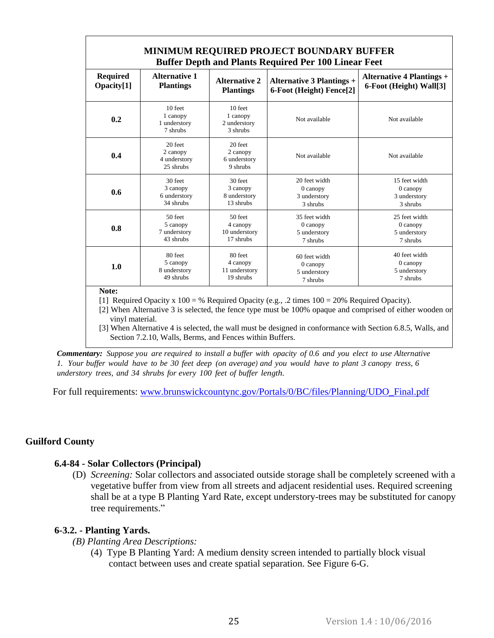| <b>MINIMUM REQUIRED PROJECT BOUNDARY BUFFER</b><br><b>Buffer Depth and Plants Required Per 100 Linear Feet</b> |                                                  |                                                 |                                  |                                  |  |  |
|----------------------------------------------------------------------------------------------------------------|--------------------------------------------------|-------------------------------------------------|----------------------------------|----------------------------------|--|--|
| <b>Required</b>                                                                                                | <b>Alternative 1</b>                             | <b>Alternative 2</b>                            | <b>Alternative 3 Plantings +</b> | <b>Alternative 4 Plantings +</b> |  |  |
| Opacity[1]                                                                                                     | <b>Plantings</b>                                 | <b>Plantings</b>                                | 6-Foot (Height) Fence[2]         | 6-Foot (Height) Wall[3]          |  |  |
| 0.2                                                                                                            | 10 feet<br>1 canopy<br>1 understory<br>7 shrubs  | 10 feet<br>1 canopy<br>2 understory<br>3 shrubs | Not available                    | Not available                    |  |  |
| 0.4                                                                                                            | 20 feet<br>2 canopy<br>4 understory<br>25 shrubs | 20 feet<br>2 canopy<br>6 understory<br>9 shrubs | Not available                    | Not available                    |  |  |
| 0.6                                                                                                            | 30 feet                                          | 30 feet                                         | 20 feet width                    | 15 feet width                    |  |  |
|                                                                                                                | 3 canopy                                         | 3 canopy                                        | $0$ can opy                      | $0$ can opy                      |  |  |
|                                                                                                                | 6 understory                                     | 8 understory                                    | 3 understory                     | 3 understory                     |  |  |
|                                                                                                                | 34 shrubs                                        | 13 shrubs                                       | 3 shrubs                         | 3 shrubs                         |  |  |
| 0.8                                                                                                            | 50 feet                                          | 50 feet                                         | 35 feet width                    | 25 feet width                    |  |  |
|                                                                                                                | 5 canopy                                         | 4 canopy                                        | $0$ can opy                      | $0$ can opy                      |  |  |
|                                                                                                                | 7 understory                                     | 10 understory                                   | 5 understory                     | 5 understory                     |  |  |
|                                                                                                                | 43 shrubs                                        | 17 shrubs                                       | 7 shrubs                         | 7 shrubs                         |  |  |
| 1.0                                                                                                            | 80 feet                                          | 80 feet                                         | 60 feet width                    | 40 feet width                    |  |  |
|                                                                                                                | 5 canopy                                         | 4 canopy                                        | $0$ canopy                       | $0$ canopy                       |  |  |
|                                                                                                                | 8 understory                                     | 11 understory                                   | 5 understory                     | 5 understory                     |  |  |
|                                                                                                                | 49 shrubs                                        | 19 shrubs                                       | 7 shrubs                         | 7 shrubs                         |  |  |

**Note:** 

[1] Required Opacity x 100 = % Required Opacity (e.g., .2 times 100 = 20% Required Opacity).

[2] When Alternative 3 is selected, the fence type must be 100% opaque and comprised of either wooden or vinyl material.

[3] When Alternative 4 is selected, the wall must be designed in conformance with Section 6.8.5, Walls, and Section 7.2.10, Walls, Berms, and Fences within Buffers.

Commentary: Suppose you are required to install a buffer with opacity of 0.6 and you elect to use Alternative *1. Your buffer would have to be 30 feet deep (on average) and you would have to plant 3 canopy tress, 6 understory trees, and 34 shrubs for every 100 feet of buffer length.*

For full requirements: [www.brunswickcountync.gov/Portals/0/BC/files/Planning/UDO\\_Final.pdf](http://www.brunswickcountync.gov/Portals/0/BC/files/Planning/UDO_Final.pdf)

#### **Guilford County**

#### **[6.4-84 -](javascript:void(0)) [Solar](javascript:void(0)) Collectors (Principal)**

(D) *Screening:* Solar collectors and associated outside storage shall be completely screened with a vegetative buffer from view from all streets and adjacent residential uses. Required screening shall be at a type B Planting Yard Rate, except understory-trees may be substituted for canopy tree requirements."

#### **6-3.2. - Planting Yards.**

#### *(B) Planting Area Descriptions:*

(4) Type B Planting Yard: A medium density screen intended to partially block visual contact between uses and create spatial separation. See Figure 6-G.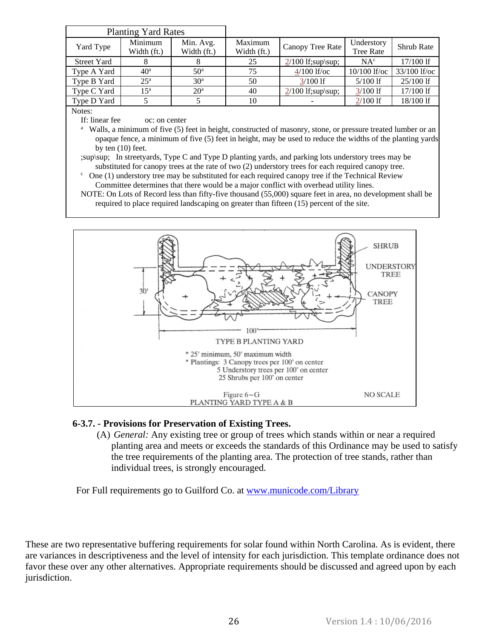| <b>Planting Yard Rates</b> |                 |                 |             |                     |                  |                   |  |
|----------------------------|-----------------|-----------------|-------------|---------------------|------------------|-------------------|--|
| Yard Type                  | Minimum         | Min. Avg.       | Maximum     | Canopy Tree Rate    | Understory       | <b>Shrub Rate</b> |  |
|                            | Width (ft.)     | Width (ft.)     | Width (ft.) |                     | <b>Tree Rate</b> |                   |  |
| <b>Street Yard</b>         | 8               | 8               | 25          | $2/100$ If;sup\sup; | NA <sup>c</sup>  | $17/100$ If       |  |
| Type A Yard                | 40 <sup>a</sup> | 50 <sup>a</sup> | 75          | $4/100$ lf/oc       | $10/100$ lf/oc   | $33/100$ lf/oc    |  |
| Type B Yard                | 25 <sup>a</sup> | 30 <sup>a</sup> | 50          | $3/100$ If          | $5/100$ If       | $25/100$ If       |  |
| Type C Yard                | $15^{\rm a}$    | 20 <sup>a</sup> | 40          | $2/100$ If;sup\sup; | $3/100$ If       | 17/100 lf         |  |
| Type D Yard                |                 |                 | 10          |                     | $2/100$ If       | 18/100 lf         |  |

Notes:

If: linear fee oc: on center

<sup>a</sup> Walls, a minimum of five (5) feet in height, constructed of masonry, stone, or pressure treated lumber or an opaque fence, a minimum of five (5) feet in height, may be used to reduce the widths of the planting yards by ten (10) feet.

- ;sup\sup; In streetyards, Type C and Type D planting yards, and parking lots understory trees may be substituted for canopy trees at the rate of two (2) understory trees for each required canopy tree.
- $\epsilon$  One (1) understory tree may be substituted for each required canopy tree if the Technical Review Committee determines that there would be a major conflict with overhead utility lines.
- NOTE: On Lots of Record less than fifty-five thousand (55,000) square feet in area, no development shall be required to place required landscaping on greater than fifteen (15) percent of the site.



#### **6-3.7. - Provisions for [Preservation](javascript:void(0)) of Existing Trees.**

(A) *General:* Any existing tree or group of trees which stands within or near a required planting area and meets or exceeds the standards of this Ordinance may be used to satisfy the tree requirements of the planting area. The protection of tree stands, rather than individual trees, is strongly encouraged.

For Full requirements go to Guilford Co. at [www.municode.com/Library](http://www.municode.com/Library)

These are two representative buffering requirements for solar found within North Carolina. As is evident, there are variances in descriptiveness and the level of intensity for each jurisdiction. This template ordinance does not favor these over any other alternatives. Appropriate requirements should be discussed and agreed upon by each jurisdiction.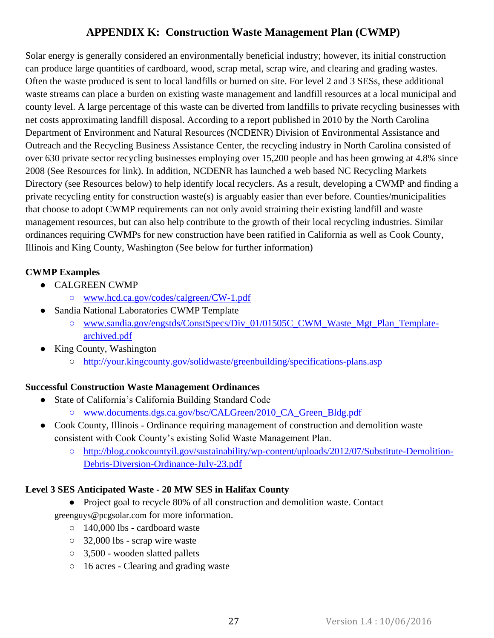### **APPENDIX K: Construction Waste Management Plan (CWMP)**

<span id="page-28-0"></span>Solar energy is generally considered an environmentally beneficial industry; however, its initial construction can produce large quantities of cardboard, wood, scrap metal, scrap wire, and clearing and grading wastes. Often the waste produced is sent to local landfills or burned on site. For level 2 and 3 SESs, these additional waste streams can place a burden on existing waste management and landfill resources at a local municipal and county level. A large percentage of this waste can be diverted from landfills to private recycling businesses with net costs approximating landfill disposal. According to a report published in 2010 by the North Carolina Department of Environment and Natural Resources (NCDENR) Division of Environmental Assistance and Outreach and the Recycling Business Assistance Center, the recycling industry in North Carolina consisted of over 630 private sector recycling businesses employing over 15,200 people and has been growing at 4.8% since 2008 (See Resources for link). In addition, NCDENR has launched a web based NC Recycling Markets Directory (see Resources below) to help identify local recyclers. As a result, developing a CWMP and finding a private recycling entity for construction waste(s) is arguably easier than ever before. Counties/municipalities that choose to adopt CWMP requirements can not only avoid straining their existing landfill and waste management resources, but can also help contribute to the growth of their local recycling industries. Similar ordinances requiring CWMPs for new construction have been ratified in California as well as Cook County, Illinois and King County, Washington (See below for further information)

### **CWMP Examples**

- CALGREEN CWMP
	- [www.hcd.ca.gov/codes/calgreen/CW-1.pdf](http://www.hcd.ca.gov/codes/calgreen/CW-1.pdf)
- Sandia National Laboratories CWMP Template
	- [www.sandia.gov/engstds/ConstSpecs/Div\\_01/01505C\\_CWM\\_Waste\\_Mgt\\_Plan\\_Template](http://www.sandia.gov/engstds/ConstSpecs/Div_01/01505C_CWM_Waste_Mgt_Plan_Template-archived.pdf)[archived.pdf](http://www.sandia.gov/engstds/ConstSpecs/Div_01/01505C_CWM_Waste_Mgt_Plan_Template-archived.pdf)
- King County, Washington
	- <http://your.kingcounty.gov/solidwaste/greenbuilding/specifications-plans.asp>

### **Successful Construction Waste Management Ordinances**

- State of California's California Building Standard Code
	- [www.documents.dgs.ca.gov/bsc/CALGreen/2010\\_CA\\_Green\\_Bldg.pdf](http://www.documents.dgs.ca.gov/bsc/CALGreen/2010_CA_Green_Bldg.pdf)
- Cook County, Illinois Ordinance requiring management of construction and demolition waste consistent with Cook County's existing Solid Waste Management Plan.
	- [http://blog.cookcountyil.gov/sustainability/wp-content/uploads/2012/07/Substitute-Demolition-](http://blog.cookcountyil.gov/sustainability/wp-content/uploads/2012/07/Substitute-Demolition-Debris-Diversion-Ordinance-July-23.pdf)[Debris-Diversion-Ordinance-July-23.pdf](http://blog.cookcountyil.gov/sustainability/wp-content/uploads/2012/07/Substitute-Demolition-Debris-Diversion-Ordinance-July-23.pdf)

### **Level 3 SES Anticipated Waste - 20 MW SES in Halifax County**

● Project goal to recycle 80% of all construction and demolition waste. Contact

greenguys@pcgsolar.com for more information.

- 140,000 lbs cardboard waste
- 32,000 lbs scrap wire waste
- 3,500 wooden slatted pallets
- 16 acres Clearing and grading waste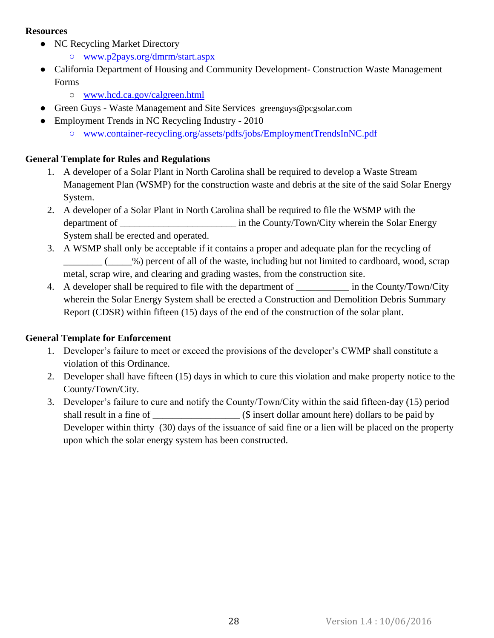#### **Resources**

- NC Recycling Market Directory
	- [www.p2pays.org/dmrm/start.aspx](http://www.p2pays.org/dmrm/start.aspx)
- California Department of Housing and Community Development- Construction Waste Management Forms
	- [www.hcd.ca.gov/calgreen.html](http://www.hcd.ca.gov/calgreen.html)
- Green Guys Waste Management and Site Services greenguys@pcgsolar.com
- Employment Trends in NC Recycling Industry 2010
	- [www.container-recycling.org/assets/pdfs/jobs/EmploymentTrendsInNC.pdf](http://www.container-recycling.org/assets/pdfs/jobs/EmploymentTrendsInNC.pdf)

#### **General Template for Rules and Regulations**

- 1. A developer of a Solar Plant in North Carolina shall be required to develop a Waste Stream Management Plan (WSMP) for the construction waste and debris at the site of the said Solar Energy System.
- 2. A developer of a Solar Plant in North Carolina shall be required to file the WSMP with the department of <br>in the County/Town/City wherein the Solar Energy System shall be erected and operated.
- 3. A WSMP shall only be acceptable if it contains a proper and adequate plan for the recycling of \_\_\_\_\_\_\_\_ (\_\_\_\_\_%) percent of all of the waste, including but not limited to cardboard, wood, scrap metal, scrap wire, and clearing and grading wastes, from the construction site.
- 4. A developer shall be required to file with the department of \_\_\_\_\_\_\_\_\_\_\_\_\_ in the County/Town/City wherein the Solar Energy System shall be erected a Construction and Demolition Debris Summary Report (CDSR) within fifteen (15) days of the end of the construction of the solar plant.

#### **General Template for Enforcement**

- 1. Developer's failure to meet or exceed the provisions of the developer's CWMP shall constitute a violation of this Ordinance.
- 2. Developer shall have fifteen (15) days in which to cure this violation and make property notice to the County/Town/City.
- 3. Developer's failure to cure and notify the County/Town/City within the said fifteen-day (15) period shall result in a fine of \_\_\_\_\_\_\_\_\_\_\_\_\_\_\_\_\_\_ (\$ insert dollar amount here) dollars to be paid by Developer within thirty (30) days of the issuance of said fine or a lien will be placed on the property upon which the solar energy system has been constructed.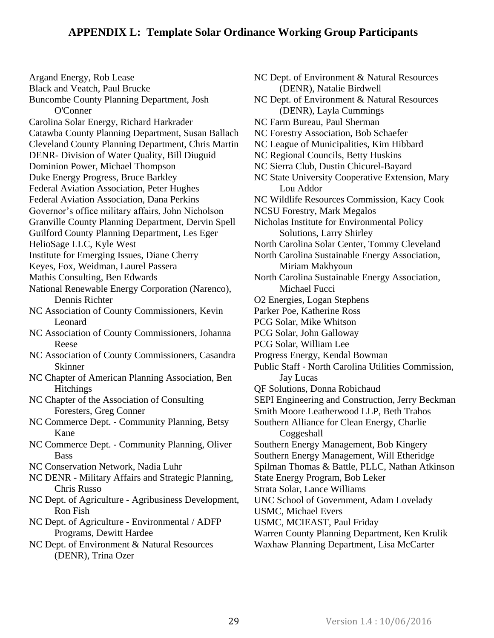Black and Veatch, Paul Brucke Buncombe County Planning Department, Josh O'Conner Carolina Solar Energy, Richard Harkrader Catawba County Planning Department, Susan Ballach Cleveland County Planning Department, Chris Martin DENR- Division of Water Quality, Bill Diuguid Dominion Power, Michael Thompson Duke Energy Progress, Bruce Barkley Federal Aviation Association, Peter Hughes Federal Aviation Association, Dana Perkins Governor's office military affairs, John Nicholson Granville County Planning Department, Dervin Spell Guilford County Planning Department, Les Eger HelioSage LLC, Kyle West Institute for Emerging Issues, Diane Cherry Keyes, Fox, Weidman, Laurel Passera Mathis Consulting, Ben Edwards National Renewable Energy Corporation (Narenco), Dennis Richter NC Association of County Commissioners, Kevin Leonard NC Association of County Commissioners, Johanna Reese NC Association of County Commissioners, Casandra Skinner NC Chapter of American Planning Association, Ben **Hitchings** NC Chapter of the Association of Consulting Foresters, Greg Conner NC Commerce Dept. - Community Planning, Betsy Kane NC Commerce Dept. - Community Planning, Oliver **Bass** NC Conservation Network, Nadia Luhr NC DENR - Military Affairs and Strategic Planning, Chris Russo NC Dept. of Agriculture - Agribusiness Development, Ron Fish

<span id="page-30-0"></span>Argand Energy, Rob Lease

NC Dept. of Agriculture - Environmental / ADFP Programs, Dewitt Hardee

NC Dept. of Environment & Natural Resources (DENR), Trina Ozer

NC Dept. of Environment & Natural Resources (DENR), Natalie Birdwell NC Dept. of Environment & Natural Resources (DENR), Layla Cummings NC Farm Bureau, Paul Sherman NC Forestry Association, Bob Schaefer NC League of Municipalities, Kim Hibbard NC Regional Councils, Betty Huskins NC Sierra Club, Dustin Chicurel-Bayard NC State University Cooperative Extension, Mary Lou Addor NC Wildlife Resources Commission, Kacy Cook NCSU Forestry, Mark Megalos Nicholas Institute for Environmental Policy Solutions, Larry Shirley North Carolina Solar Center, Tommy Cleveland North Carolina Sustainable Energy Association, Miriam Makhyoun North Carolina Sustainable Energy Association, Michael Fucci O2 Energies, Logan Stephens Parker Poe, Katherine Ross PCG Solar, Mike Whitson PCG Solar, John Galloway PCG Solar, William Lee Progress Energy, Kendal Bowman Public Staff ‐ North Carolina Utilities Commission, Jay Lucas QF Solutions, Donna Robichaud SEPI Engineering and Construction, Jerry Beckman Smith Moore Leatherwood LLP, Beth Trahos Southern Alliance for Clean Energy, Charlie Coggeshall Southern Energy Management, Bob Kingery Southern Energy Management, Will Etheridge Spilman Thomas & Battle, PLLC, Nathan Atkinson State Energy Program, Bob Leker Strata Solar, Lance Williams UNC School of Government, Adam Lovelady USMC, Michael Evers USMC, MCIEAST, Paul Friday Warren County Planning Department, Ken Krulik Waxhaw Planning Department, Lisa McCarter